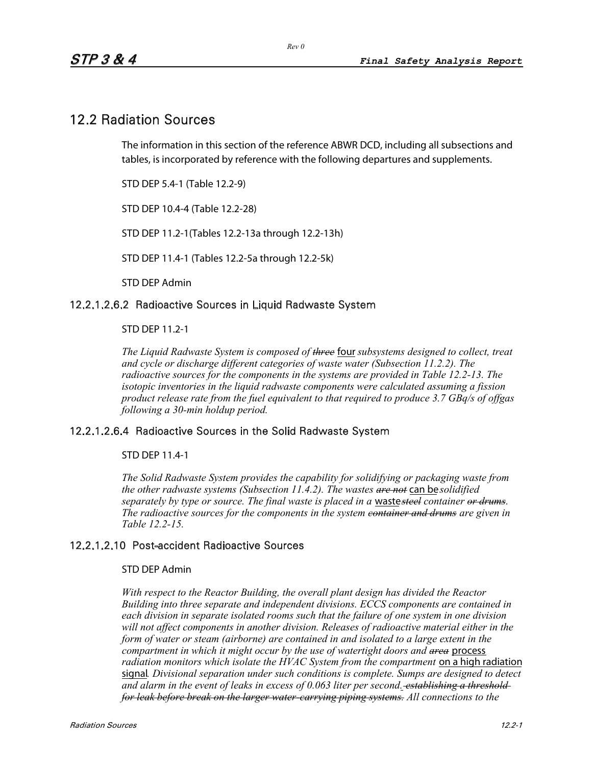## 12.2 Radiation Sources

The information in this section of the reference ABWR DCD, including all subsections and tables, is incorporated by reference with the following departures and supplements.

STD DEP 5.4-1 (Table 12.2-9)

STD DEP 10.4-4 (Table 12.2-28)

STD DEP 11.2-1(Tables 12.2-13a through 12.2-13h)

STD DEP 11.4-1 (Tables 12.2-5a through 12.2-5k)

STD DEP Admin

#### 12.2.1.2.6.2 Radioactive Sources in Liquid Radwaste System

STD DEP 11.2-1

*The Liquid Radwaste System is composed of three* four *subsystems designed to collect, treat and cycle or discharge different categories of waste water (Subsection 11.2.2). The radioactive sources for the components in the systems are provided in Table 12.2-13. The isotopic inventories in the liquid radwaste components were calculated assuming a fission product release rate from the fuel equivalent to that required to produce 3.7 GBq/s of offgas following a 30-min holdup period.* 

#### 12.2.1.2.6.4 Radioactive Sources in the Solid Radwaste System

STD DEP 11.4-1

*The Solid Radwaste System provides the capability for solidifying or packaging waste from the other radwaste systems (Subsection 11.4.2). The wastes are not* can be*solidified separately by type or source. The final waste is placed in a* waste*steel container or drums. The radioactive sources for the components in the system container and drums are given in Table 12.2-15.*

#### 12.2.1.2.10 Post-accident Radioactive Sources

#### STD DEP Admin

*With respect to the Reactor Building, the overall plant design has divided the Reactor Building into three separate and independent divisions. ECCS components are contained in each division in separate isolated rooms such that the failure of one system in one division will not affect components in another division. Releases of radioactive material either in the form of water or steam (airborne) are contained in and isolated to a large extent in the compartment in which it might occur by the use of watertight doors and area* process *radiation monitors which isolate the HVAC System from the compartment* on a high radiation signal*. Divisional separation under such conditions is complete. Sumps are designed to detect and alarm in the event of leaks in excess of 0.063 liter per second. establishing a threshold for leak before break on the larger water-carrying piping systems. All connections to the*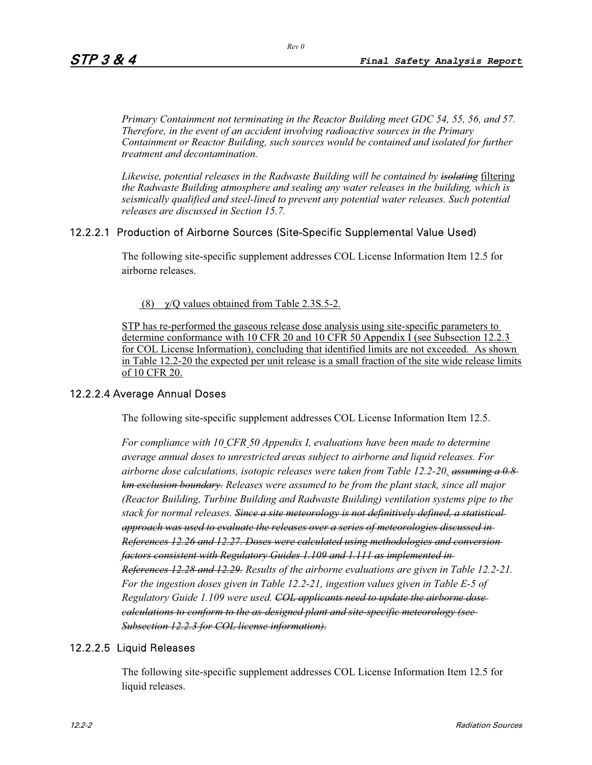*Primary Containment not terminating in the Reactor Building meet GDC 54, 55, 56, and 57. Therefore, in the event of an accident involving radioactive sources in the Primary Containment or Reactor Building, such sources would be contained and isolated for further treatment and decontamination.* 

*Likewise, potential releases in the Radwaste Building will be contained by isolating* filtering *the Radwaste Building atmosphere and sealing any water releases in the building, which is seismically qualified and steel-lined to prevent any potential water releases. Such potential releases are discussed in Section 15.7.* 

#### 12.2.2.1 Production of Airborne Sources (Site-Specific Supplemental Value Used)

The following site-specific supplement addresses COL License Information Item 12.5 for airborne releases.

(8)  $\chi$ /Q values obtained from Table 2.3S.5-2.

STP has re-performed the gaseous release dose analysis using site-specific parameters to determine conformance with 10 CFR 20 and 10 CFR 50 Appendix I (see Subsection 12.2.3 for COL License Information), concluding that identified limits are not exceeded. As shown in Table 12.2-20 the expected per unit release is a small fraction of the site wide release limits of 10 CFR 20.

#### 12.2.2.4 Average Annual Doses

The following site-specific supplement addresses COL License Information Item 12.5.

*For compliance with 10 CFR 50 Appendix I, evaluations have been made to determine average annual doses to unrestricted areas subject to airborne and liquid releases. For airborne dose calculations, isotopic releases were taken from Table 12.2-20. assuming a 0.8 km exclusion boundary. Releases were assumed to be from the plant stack, since all major (Reactor Building, Turbine Building and Radwaste Building) ventilation systems pipe to the stack for normal releases. Since a site meteorology is not definitively defined, a statistical approach was used to evaluate the releases over a series of meteorologies discussed in References 12.26 and 12.27. Doses were calculated using methodologies and conversion factors consistent with Regulatory Guides 1.109 and 1.111 as implemented in References 12.28 and 12.29. Results of the airborne evaluations are given in Table 12.2-21. For the ingestion doses given in Table 12.2-21, ingestion values given in Table E-5 of Regulatory Guide 1.109 were used. COL applicants need to update the airborne dose calculations to conform to the as-designed plant and site-specific meteorology (see Subsection 12.2.3 for COL license information).*

#### 12.2.2.5 Liquid Releases

The following site-specific supplement addresses COL License Information Item 12.5 for liquid releases.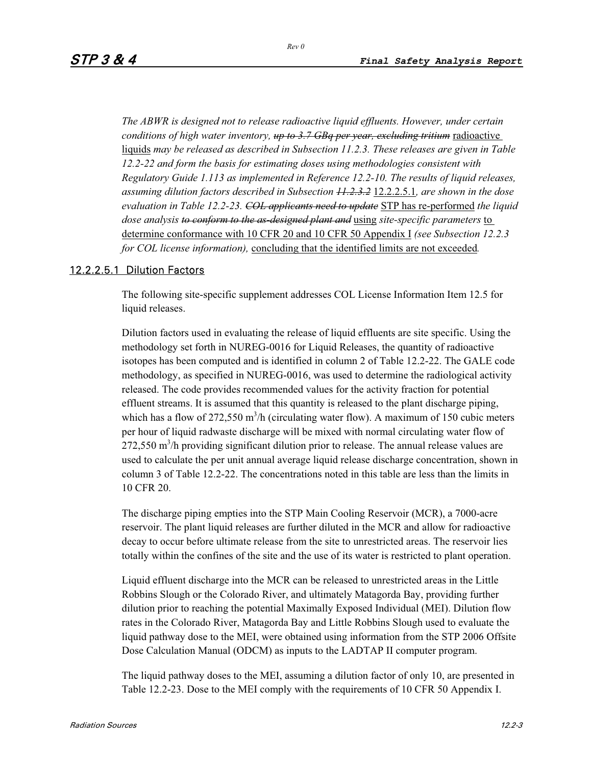*Rev 0* 

*The ABWR is designed not to release radioactive liquid effluents. However, under certain conditions of high water inventory, up to 3.7 GBq per year, excluding tritium* radioactive liquids *may be released as described in Subsection 11.2.3. These releases are given in Table 12.2-22 and form the basis for estimating doses using methodologies consistent with Regulatory Guide 1.113 as implemented in Reference 12.2-10. The results of liquid releases, assuming dilution factors described in Subsection 11.2.3.2* 12.2.2.5.1*, are shown in the dose evaluation in Table 12.2-23. COL applicants need to update* STP has re-performed *the liquid dose analysis to conform to the as-designed plant and* using *site-specific parameters* to determine conformance with 10 CFR 20 and 10 CFR 50 Appendix I *(see Subsection 12.2.3 for COL license information),* concluding that the identified limits are not exceeded*.*

### 12.2.2.5.1 Dilution Factors

The following site-specific supplement addresses COL License Information Item 12.5 for liquid releases.

Dilution factors used in evaluating the release of liquid effluents are site specific. Using the methodology set forth in NUREG-0016 for Liquid Releases, the quantity of radioactive isotopes has been computed and is identified in column 2 of Table 12.2-22. The GALE code methodology, as specified in NUREG-0016, was used to determine the radiological activity released. The code provides recommended values for the activity fraction for potential effluent streams. It is assumed that this quantity is released to the plant discharge piping, which has a flow of 272,550  $m^3/h$  (circulating water flow). A maximum of 150 cubic meters per hour of liquid radwaste discharge will be mixed with normal circulating water flow of  $272,550$  m<sup>3</sup>/h providing significant dilution prior to release. The annual release values are used to calculate the per unit annual average liquid release discharge concentration, shown in column 3 of Table 12.2-22. The concentrations noted in this table are less than the limits in 10 CFR 20.

The discharge piping empties into the STP Main Cooling Reservoir (MCR), a 7000-acre reservoir. The plant liquid releases are further diluted in the MCR and allow for radioactive decay to occur before ultimate release from the site to unrestricted areas. The reservoir lies totally within the confines of the site and the use of its water is restricted to plant operation.

Liquid effluent discharge into the MCR can be released to unrestricted areas in the Little Robbins Slough or the Colorado River, and ultimately Matagorda Bay, providing further dilution prior to reaching the potential Maximally Exposed Individual (MEI). Dilution flow rates in the Colorado River, Matagorda Bay and Little Robbins Slough used to evaluate the liquid pathway dose to the MEI, were obtained using information from the STP 2006 Offsite Dose Calculation Manual (ODCM) as inputs to the LADTAP II computer program.

The liquid pathway doses to the MEI, assuming a dilution factor of only 10, are presented in Table 12.2-23. Dose to the MEI comply with the requirements of 10 CFR 50 Appendix I.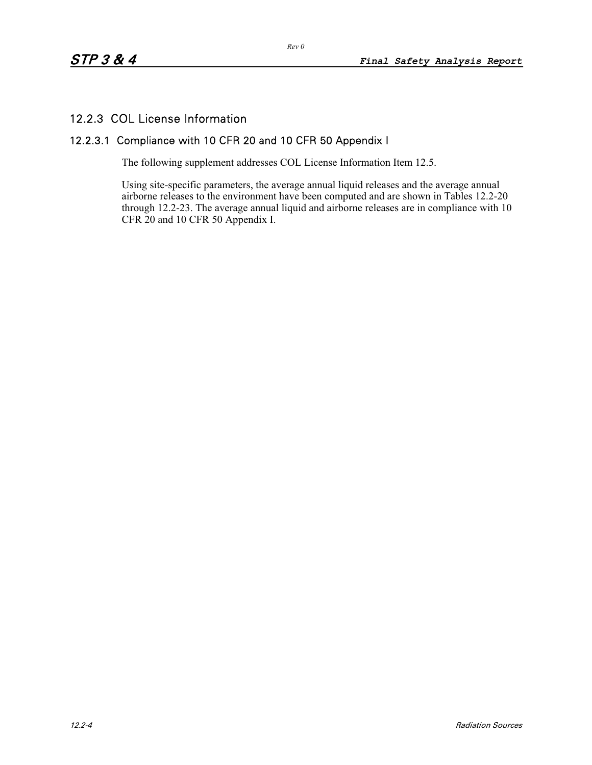### 12.2.3 COL License Information

### 12.2.3.1 Compliance with 10 CFR 20 and 10 CFR 50 Appendix I

The following supplement addresses COL License Information Item 12.5.

Using site-specific parameters, the average annual liquid releases and the average annual airborne releases to the environment have been computed and are shown in Tables 12.2-20 through 12.2-23. The average annual liquid and airborne releases are in compliance with 10 CFR 20 and 10 CFR 50 Appendix I.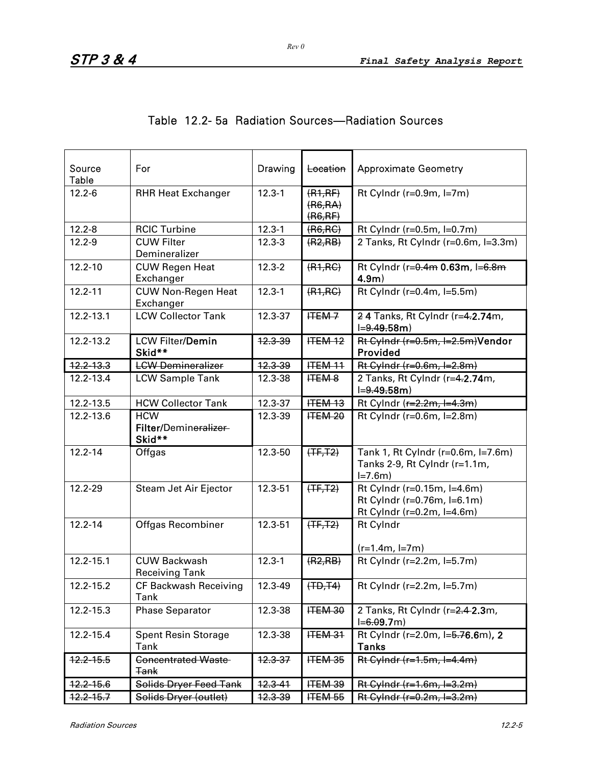| Source<br>Table | For                                           | Drawing            | Location                       | <b>Approximate Geometry</b>                                                              |
|-----------------|-----------------------------------------------|--------------------|--------------------------------|------------------------------------------------------------------------------------------|
| $12.2 - 6$      | <b>RHR Heat Exchanger</b>                     | $12.3 - 1$         | (R1,RF)<br>(R6, RA)<br>(R6,RF) | Rt Cylndr ( $r=0.9m$ , $l=7m$ )                                                          |
| $12.2 - 8$      | <b>RCIC Turbine</b>                           | $12.3 - 1$         | (R6, RC)                       | Rt Cylndr (r=0.5m, l=0.7m)                                                               |
| $12.2 - 9$      | <b>CUW Filter</b><br>Demineralizer            | $12.3 - 3$         | (R2, RB)                       | 2 Tanks, Rt Cylndr (r=0.6m, l=3.3m)                                                      |
| $12.2 - 10$     | <b>CUW Regen Heat</b><br>Exchanger            | $12.3 - 2$         | (R1, RC)                       | Rt Cylndr (r=0.4m 0.63m, l=6.8m<br>$4.9m$ )                                              |
| $12.2 - 11$     | <b>CUW Non-Regen Heat</b><br>Exchanger        | $12.3 - 1$         | (R1, RC)                       | Rt Cylndr (r=0.4m, l=5.5m)                                                               |
| $12.2 - 13.1$   | <b>LCW Collector Tank</b>                     | 12.3-37            | <b>HTEM-7</b>                  | 24 Tanks, Rt Cylndr (r=4.2.74m,<br>$I = 9.49.58m$                                        |
| 12.2-13.2       | <b>LCW Filter/Demin</b><br>Skid**             | 12.3-39            | $HEM-12$                       | Rt Cylndr (r=0.5m, l=2.5m)Vendor<br>Provided                                             |
| 12.2-13.3       | <b>LCW Demineralizer</b>                      | 12.3-39            | <b>ITEM 11</b>                 | Rt Cylndr (r=0.6m, l=2.8m)                                                               |
| 12.2-13.4       | <b>LCW Sample Tank</b>                        | 12.3-38            | <b>HEM 8</b>                   | 2 Tanks, Rt Cylndr (r=4.2.74m,<br>$I = 9.49.58m$                                         |
| 12.2-13.5       | <b>HCW Collector Tank</b>                     | 12.3-37            | <b>ITEM 13</b>                 | Rt Cylndr (r=2.2m, l=4.3m)                                                               |
| 12.2-13.6       | <b>HCW</b><br>Filter/Demineralizer<br>Skid**  | 12.3-39            | HEM20                          | Rt Cylndr (r=0.6m, l=2.8m)                                                               |
| $12.2 - 14$     | Offgas                                        | 12.3-50            | $(TF, T2)$                     | Tank 1, Rt Cylndr (r=0.6m, l=7.6m)<br>Tanks 2-9, Rt Cylndr (r=1.1m,<br>$I = 7.6m$        |
| 12.2-29         | Steam Jet Air Ejector                         | 12.3-51            | $(TF, T2)$                     | Rt Cylndr (r=0.15m, l=4.6m)<br>Rt Cylndr (r=0.76m, l=6.1m)<br>Rt Cylndr (r=0.2m, l=4.6m) |
| $12.2 - 14$     | Offgas Recombiner                             | 12.3-51            | $(TF, T2)$                     | <b>Rt Cylndr</b>                                                                         |
|                 |                                               |                    |                                | $(r=1.4m, l=7m)$                                                                         |
| 12.2-15.1       | <b>CUW Backwash</b><br><b>Receiving Tank</b>  | $12.3 - 1$         | (R2, RB)                       | Rt Cylndr (r=2.2m, l=5.7m)                                                               |
| 12.2-15.2       | <b>CF Backwash Receiving</b><br><b>Tank</b>   | 12.3-49            | (HD, TA)                       | Rt Cylndr (r=2.2m, l=5.7m)                                                               |
| 12.2-15.3       | <b>Phase Separator</b>                        | 12.3-38            | ITEM 30                        | 2 Tanks, Rt Cylndr (r=2.4-2.3m,<br>$I = 6.09.7m$                                         |
| 12.2-15.4       | <b>Spent Resin Storage</b><br>Tank            | 12.3-38            | <b>ITEM 31</b>                 | Rt Cylndr (r=2.0m, l=5.76.6m), 2<br><b>Tanks</b>                                         |
| $12.2 - 15.5$   | <b>Concentrated Waste-</b><br><del>Tank</del> | 12.3-37            | <b>ITEM 35</b>                 | $Rt$ Cylndr (r=1.5m, l=4.4m)                                                             |
| $12.2 - 15.6$   | Solids Dryer Feed Tank                        | 12.3-41            | ITEM 39                        | $Rt$ Cylndr (r=1.6m, l=3.2m)                                                             |
| 12.2-15.7       | Solids Dryer (outlet)                         | <del>12.3-39</del> | <b>ITEM 55</b>                 | <del>Rt Cylndr (r=0.2m, l=3.2m)</del>                                                    |

|  |  | Table 12.2- 5a Radiation Sources—Radiation Sources |  |
|--|--|----------------------------------------------------|--|
|  |  |                                                    |  |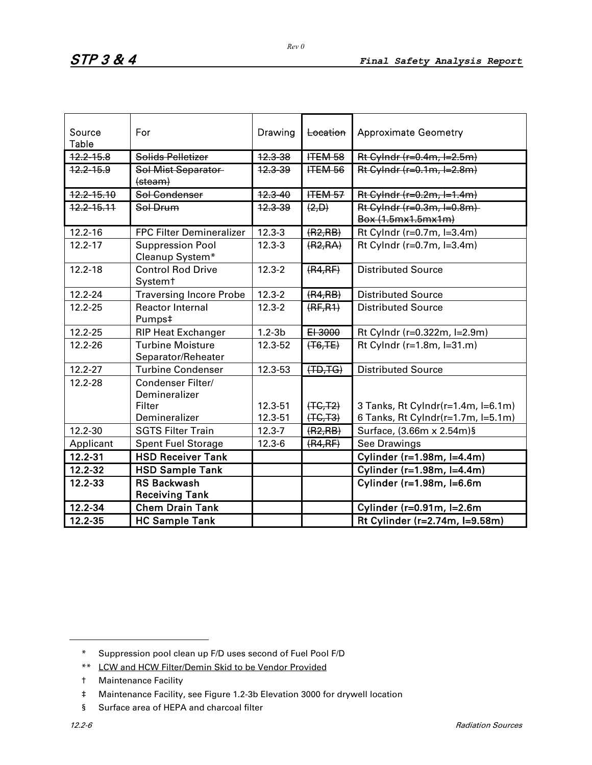| Source<br>Table | For                                                 | Drawing            | Location                 | <b>Approximate Geometry</b>                      |
|-----------------|-----------------------------------------------------|--------------------|--------------------------|--------------------------------------------------|
| $12.2 - 15.8$   | Solids Pelletizer                                   | 12.3-38            | <b>ITEM 58</b>           | Rt Cylndr $(r=0.4m, l=2.5m)$                     |
| $12.2 - 15.9$   | Sol Mist Separator<br>(steam)                       | <del>12.3-39</del> | <b>ITEM 56</b>           | Rt Cylndr $(r=0.1m, l=2.8m)$                     |
| 12.2-15.10      | Sol Condenser                                       | 12.3-40            | <b>ITEM 57</b>           | Rt Cylndr $(r=0.2m, l=1.4m)$                     |
| 12.2-15.11      | Sol Drum                                            | <del>12.3-39</del> | (2, D)                   | Rt Cylndr (r=0.3m, l=0.8m)<br>Box (1.5mx1.5mx1m) |
| $12.2 - 16$     | FPC Filter Demineralizer                            | $12.3 - 3$         | (R2, RB)                 | Rt Cylndr (r=0.7m, l=3.4m)                       |
| $12.2 - 17$     | <b>Suppression Pool</b><br>Cleanup System*          | $12.3 - 3$         | (R2, RA)                 | Rt Cylndr (r=0.7m, l=3.4m)                       |
| $12.2 - 18$     | <b>Control Rod Drive</b><br>Systemt                 | $12.3 - 2$         | (R4,RF)                  | <b>Distributed Source</b>                        |
| 12.2-24         | <b>Traversing Incore Probe</b>                      | $12.3 - 2$         | (R4, RB)                 | <b>Distributed Source</b>                        |
| $12.2 - 25$     | <b>Reactor Internal</b><br>Pumps‡                   | $12.3 - 2$         | (RF, R1)                 | <b>Distributed Source</b>                        |
| $12.2 - 25$     | <b>RIP Heat Exchanger</b>                           | $1.2 - 3b$         | EI 3000                  | Rt Cylndr (r=0.322m, l=2.9m)                     |
| $12.2 - 26$     | <b>Turbine Moisture</b><br>Separator/Reheater       | 12.3-52            | $(T6,TE)$                | Rt Cylndr (r=1.8m, l=31.m)                       |
| $12.2 - 27$     | <b>Turbine Condenser</b>                            | 12.3-53            | $(TD, TG)$               | <b>Distributed Source</b>                        |
| 12.2-28         | Condenser Filter/<br>Demineralizer<br><b>Filter</b> | 12.3-51            |                          | 3 Tanks, Rt Cylndr(r=1.4m, l=6.1m)               |
|                 | Demineralizer                                       | 12.3-51            | $(TC, T2)$<br>$(TC, T3)$ | 6 Tanks, Rt Cylndr(r=1.7m, l=5.1m)               |
| 12.2-30         | <b>SGTS Filter Train</b>                            | $12.3 - 7$         | (R2, RB)                 | Surface, (3.66m x 2.54m)§                        |
| Applicant       | <b>Spent Fuel Storage</b>                           | $12.3 - 6$         | (R4,RF)                  | See Drawings                                     |
| $12.2 - 31$     | <b>HSD Receiver Tank</b>                            |                    |                          | Cylinder (r=1.98m, l=4.4m)                       |
| 12.2-32         | <b>HSD Sample Tank</b>                              |                    |                          | Cylinder (r=1.98m, l=4.4m)                       |
| 12.2-33         | <b>RS Backwash</b>                                  |                    |                          | Cylinder (r=1.98m, l=6.6m                        |
|                 | <b>Receiving Tank</b>                               |                    |                          |                                                  |
| 12.2-34         | <b>Chem Drain Tank</b>                              |                    |                          | Cylinder (r=0.91m, l=2.6m                        |
| 12.2-35         | <b>HC Sample Tank</b>                               |                    |                          | Rt Cylinder (r=2.74m, l=9.58m)                   |

 $\overline{a}$ 

<sup>\*</sup> Suppression pool clean up F/D uses second of Fuel Pool F/D

<sup>\*\*</sup> LCW and HCW Filter/Demin Skid to be Vendor Provided

<sup>†</sup> Maintenance Facility

<sup>‡</sup> Maintenance Facility, see Figure 1.2-3b Elevation 3000 for drywell location

<sup>§</sup> Surface area of HEPA and charcoal filter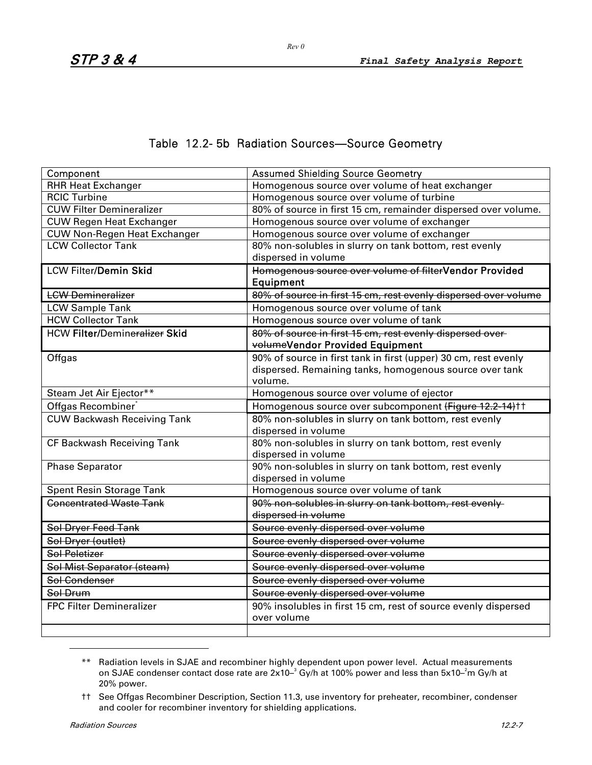### Table 12.2- 5b Radiation Sources—Source Geometry

| Component                                       | <b>Assumed Shielding Source Geometry</b>                                      |
|-------------------------------------------------|-------------------------------------------------------------------------------|
| <b>RHR Heat Exchanger</b>                       | Homogenous source over volume of heat exchanger                               |
| <b>RCIC Turbine</b>                             | Homogenous source over volume of turbine                                      |
| <b>CUW Filter Demineralizer</b>                 | 80% of source in first 15 cm, remainder dispersed over volume.                |
| <b>CUW Regen Heat Exchanger</b>                 | Homogenous source over volume of exchanger                                    |
| <b>CUW Non-Regen Heat Exchanger</b>             | Homogenous source over volume of exchanger                                    |
| <b>LCW Collector Tank</b>                       | 80% non-solubles in slurry on tank bottom, rest evenly<br>dispersed in volume |
| <b>LCW Filter/Demin Skid</b>                    | Homogenous source over volume of filterVendor Provided                        |
|                                                 | <b>Equipment</b>                                                              |
| <b>LCW Demineralizer</b>                        | 80% of source in first 15 cm, rest evenly dispersed over volume               |
| <b>LCW Sample Tank</b>                          | Homogenous source over volume of tank                                         |
| <b>HCW Collector Tank</b>                       | Homogenous source over volume of tank                                         |
| <b>HCW Filter/Demin<del>eralizer</del> Skid</b> | 80% of source in first 15 cm, rest evenly dispersed over-                     |
|                                                 | volumeVendor Provided Equipment                                               |
| Offgas                                          | 90% of source in first tank in first (upper) 30 cm, rest evenly               |
|                                                 | dispersed. Remaining tanks, homogenous source over tank                       |
|                                                 | volume.                                                                       |
| Steam Jet Air Ejector**                         | Homogenous source over volume of ejector                                      |
| Offgas Recombiner <sup>®</sup>                  | Homogenous source over subcomponent (Figure 12.2-14) <sup>††</sup>            |
| <b>CUW Backwash Receiving Tank</b>              | 80% non-solubles in slurry on tank bottom, rest evenly                        |
|                                                 | dispersed in volume                                                           |
| CF Backwash Receiving Tank                      | 80% non-solubles in slurry on tank bottom, rest evenly                        |
|                                                 | dispersed in volume                                                           |
| <b>Phase Separator</b>                          | 90% non-solubles in slurry on tank bottom, rest evenly                        |
|                                                 | dispersed in volume                                                           |
| <b>Spent Resin Storage Tank</b>                 | Homogenous source over volume of tank                                         |
| <b>Concentrated Waste Tank</b>                  | 90% non-solubles in slurry on tank bottom, rest evenly-                       |
|                                                 | dispersed in volume                                                           |
| Sol Dryer Feed Tank                             | Source evenly dispersed over volume                                           |
| Sol Dryer (outlet)                              | Source evenly dispersed over volume                                           |
| Sol Peletizer                                   | Source evenly dispersed over volume                                           |
| Sol Mist Separator (steam)                      | Source evenly dispersed over volume                                           |
| Sol Condenser                                   | Source evenly dispersed over volume                                           |
| Sol Drum                                        | Source evenly dispersed over volume                                           |
| <b>FPC Filter Demineralizer</b>                 | 90% insolubles in first 15 cm, rest of source evenly dispersed                |
|                                                 | over volume                                                                   |
|                                                 |                                                                               |

<sup>\*\*</sup> Radiation levels in SJAE and recombiner highly dependent upon power level. Actual measurements on SJAE condenser contact dose rate are 2x10– $^3$  Gy/h at 100% power and less than 5x10– $^2$ m Gy/h at 20% power.

 $\overline{a}$ 

*Rev 0* 

<sup>††</sup> See Offgas Recombiner Description, Section 11.3, use inventory for preheater, recombiner, condenser and cooler for recombiner inventory for shielding applications.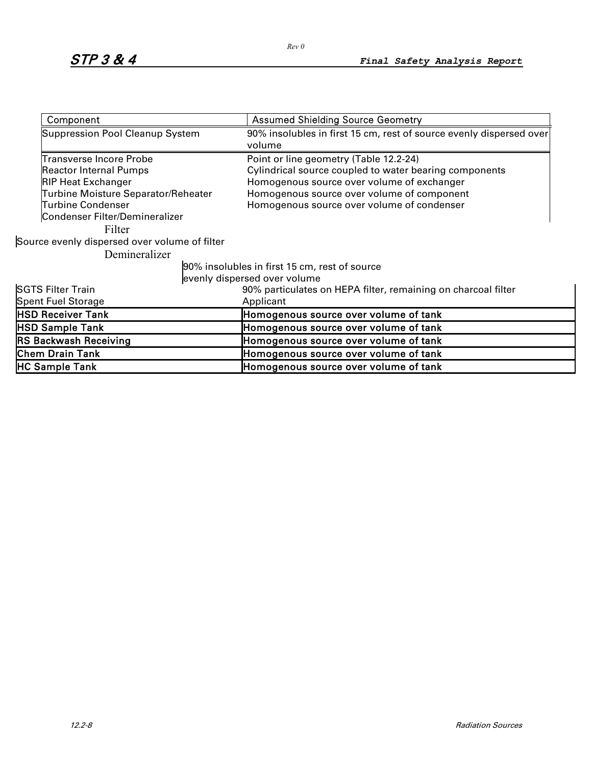| Component                                     | <b>Assumed Shielding Source Geometry</b>                                      |  |  |  |  |  |
|-----------------------------------------------|-------------------------------------------------------------------------------|--|--|--|--|--|
| <b>Suppression Pool Cleanup System</b>        | 90% insolubles in first 15 cm, rest of source evenly dispersed over<br>volume |  |  |  |  |  |
| Transverse Incore Probe                       | Point or line geometry (Table 12.2-24)                                        |  |  |  |  |  |
| <b>Reactor Internal Pumps</b>                 | Cylindrical source coupled to water bearing components                        |  |  |  |  |  |
| <b>RIP Heat Exchanger</b>                     | Homogenous source over volume of exchanger                                    |  |  |  |  |  |
| Turbine Moisture Separator/Reheater           | Homogenous source over volume of component                                    |  |  |  |  |  |
| Turbine Condenser                             | Homogenous source over volume of condenser                                    |  |  |  |  |  |
| Condenser Filter/Demineralizer                |                                                                               |  |  |  |  |  |
| Filter                                        |                                                                               |  |  |  |  |  |
| Source evenly dispersed over volume of filter |                                                                               |  |  |  |  |  |
| Demineralizer                                 |                                                                               |  |  |  |  |  |
|                                               | 90% insolubles in first 15 cm, rest of source                                 |  |  |  |  |  |
|                                               | evenly dispersed over volume                                                  |  |  |  |  |  |
| SGTS Filter Train                             | 90% particulates on HEPA filter, remaining on charcoal filter                 |  |  |  |  |  |
| Spent Fuel Storage                            | Applicant                                                                     |  |  |  |  |  |
| <b>HSD Receiver Tank</b>                      | Homogenous source over volume of tank                                         |  |  |  |  |  |
| <b>HSD Sample Tank</b>                        | Homogenous source over volume of tank                                         |  |  |  |  |  |
| <b>RS Backwash Receiving</b>                  | Homogenous source over volume of tank                                         |  |  |  |  |  |
| <b>Chem Drain Tank</b>                        | Homogenous source over volume of tank                                         |  |  |  |  |  |
| <b>HC Sample Tank</b>                         | Homogenous source over volume of tank                                         |  |  |  |  |  |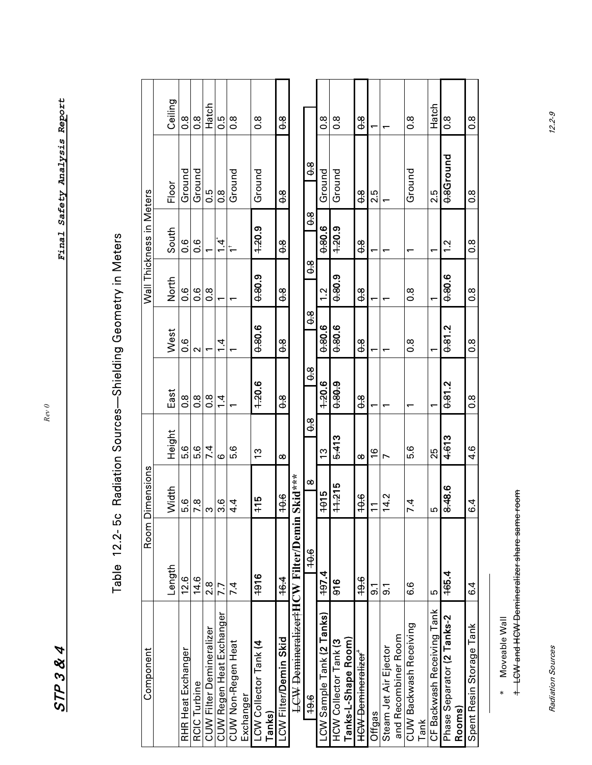$STP384$ 

*Rev 0* 

| <br> <br> <br>                                                                                                                                                                                                                   |
|----------------------------------------------------------------------------------------------------------------------------------------------------------------------------------------------------------------------------------|
|                                                                                                                                                                                                                                  |
|                                                                                                                                                                                                                                  |
| Ó                                                                                                                                                                                                                                |
| $\frac{1}{3}$<br>١                                                                                                                                                                                                               |
|                                                                                                                                                                                                                                  |
|                                                                                                                                                                                                                                  |
| :<br>;<br>;                                                                                                                                                                                                                      |
|                                                                                                                                                                                                                                  |
|                                                                                                                                                                                                                                  |
| )<br>)<br>;                                                                                                                                                                                                                      |
|                                                                                                                                                                                                                                  |
| Í                                                                                                                                                                                                                                |
| ה היה בית היה בית היה בית היה בית היה בית היה בית היה בית היה בית היה בית היה בית היה בית היה בית היה בית היה ב<br>בית היה בית היה בית היה בית היה בית היה בית היה בית היה בית היה בית היה בית היה בית היה בית היה בית היה בית ה |
|                                                                                                                                                                                                                                  |
|                                                                                                                                                                                                                                  |
| ĺ                                                                                                                                                                                                                                |
|                                                                                                                                                                                                                                  |
| Î<br>l                                                                                                                                                                                                                           |
|                                                                                                                                                                                                                                  |
| <b>2.11:11</b><br>1721                                                                                                                                                                                                           |
|                                                                                                                                                                                                                                  |
| r<br>امام                                                                                                                                                                                                                        |
|                                                                                                                                                                                                                                  |
|                                                                                                                                                                                                                                  |

| Wall Thickness in Meters<br>Room Dimensions | Ceiling<br>Floor<br>South<br><b>North</b><br>West<br>East<br>Height<br>Width<br>Length | $\frac{8}{2}$<br>Ground<br>0.6<br>9.6<br>0.6<br>8.o<br>5.6<br>5.6<br>12.6 | $\frac{8}{10}$<br>Ground<br>0.6<br>o.<br>O<br>2<br>$\frac{8}{10}$<br>5.6<br>14.6 | Hatch<br>0.5<br>$\frac{8}{2}$<br>۳<br>$0.\overline{8}$<br>7.4<br>$\frac{8}{7}$ ຕ<br>2.8 | ۵.G<br>$\frac{8}{3}$<br>֓׆<br>֡֓<br>$\overline{4}$<br>$\overline{4}$<br>G<br>3.6<br>7.7 | $\frac{8}{2}$<br>Ground<br>5.6<br>4.4<br>7.4 | $\frac{8}{2}$<br>Ground<br>$-20.9$<br>0.80.9<br>0.80.6<br>1.20.6<br>13<br>115<br>1916 |        | 8.0<br>$\frac{8}{9}$<br>$\frac{8}{9}$<br>$\frac{8}{6}$<br>$\frac{8}{9}$<br>$\frac{8}{9}$<br>$\infty$<br>10.6<br>16.4 | <b>Skid***</b>                                         | 9.<br>$\frac{8}{9}$<br>8.0<br>9.<br>$\frac{8}{3}$<br>9.<br>$\infty$<br>10.6 | 8.o<br>Ground<br>0.80.6<br>1.2<br>0.806<br>1.20.6<br>13<br>1015<br>197.4 | 8.O<br>Ground<br>1.20.9<br>0.80.9<br>0.806<br>0.80.9<br>5.413<br>$11 - 215$<br>916 |                     | 8.0<br>98<br><u>ფ</u><br>$\frac{8}{9}$<br>$\frac{8}{9}$<br>$\frac{8}{9}$<br>8<br>10.6<br>19.6 | ۳<br>2.5<br>۳<br>۳<br>۳<br>ᠵ<br>$\frac{6}{5}$<br>$\overline{1}$<br>5. | ᅮ<br>↖<br>14.2<br>5.1 |                     | $\frac{8}{2}$<br>Ground<br>$\frac{8}{2}$<br>$\frac{8}{1}$<br>᠇<br>5.6<br>7.4<br>6.6 |      | Hatch<br>2.5<br>٣<br>۳<br>25<br>$\mathbf{\Omega}$<br>LQ | 8.O<br>0.8Ground<br>$\frac{2}{1}$<br>0.80.6<br>0.81.2<br>0.81.2<br>4.613<br>8.48.6<br>165.4 | $\frac{8}{2}$<br>$0.\overline{8}$<br>$0.\overline{8}$<br>$0.\overline{8}$<br>$0.\overline{8}$<br>$\frac{8}{2}$<br>4.6<br>6.4<br>6.4 |
|---------------------------------------------|----------------------------------------------------------------------------------------|---------------------------------------------------------------------------|----------------------------------------------------------------------------------|-----------------------------------------------------------------------------------------|-----------------------------------------------------------------------------------------|----------------------------------------------|---------------------------------------------------------------------------------------|--------|----------------------------------------------------------------------------------------------------------------------|--------------------------------------------------------|-----------------------------------------------------------------------------|--------------------------------------------------------------------------|------------------------------------------------------------------------------------|---------------------|-----------------------------------------------------------------------------------------------|-----------------------------------------------------------------------|-----------------------|---------------------|-------------------------------------------------------------------------------------|------|---------------------------------------------------------|---------------------------------------------------------------------------------------------|-------------------------------------------------------------------------------------------------------------------------------------|
|                                             |                                                                                        |                                                                           |                                                                                  |                                                                                         |                                                                                         |                                              |                                                                                       |        |                                                                                                                      |                                                        |                                                                             |                                                                          |                                                                                    |                     |                                                                                               |                                                                       |                       |                     |                                                                                     |      |                                                         |                                                                                             |                                                                                                                                     |
|                                             |                                                                                        |                                                                           |                                                                                  |                                                                                         |                                                                                         |                                              |                                                                                       |        |                                                                                                                      |                                                        |                                                                             |                                                                          |                                                                                    |                     |                                                                                               |                                                                       |                       |                     |                                                                                     |      |                                                         |                                                                                             |                                                                                                                                     |
| Component                                   |                                                                                        | RHR Heat Exchanger                                                        | RCIC Turbine                                                                     | CUW Filter Demineralizer                                                                | CUW Regen Heat Exchanger                                                                | CUW Non-Regen Heat<br>Exchanger              | LCW Collector Tank (4                                                                 | Tanks) | LCW Filter/Demin Skid                                                                                                | <b>LCW</b> Demineralizer <sup>1</sup> HCW Filter/Demin | 19.6                                                                        | LCW Sample Tank <b>(2 Tanks)</b>                                         | HCW Collector Tank (3                                                              | Tanks-L-Shape Room) | <b>HCW Demineralizer</b>                                                                      | Offgas                                                                | Steam Jet Air Ejector | and Recombiner Room | CUW Backwash Receiving                                                              | Tank | CF Backwash Receiving Tank                              | Phase Separator (2 Tanks-2                                                                  | Spent Resin Storage Tank<br>Rooms)                                                                                                  |

\* Moveable Wall

\* Moveable Wall<br><del>1 LCW and HCW Demineralizer share same room</del> LCW and HCW Demineralizer share same room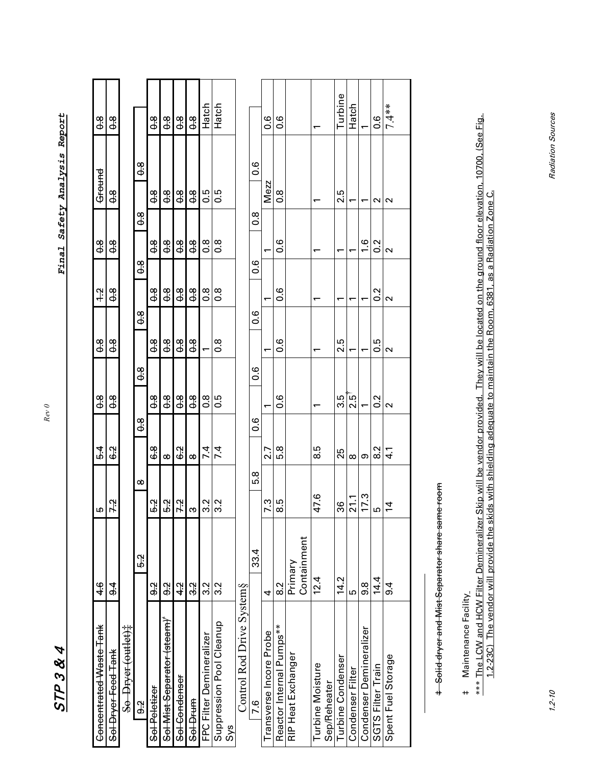| 4       |
|---------|
| ⅋       |
| ς<br>ŋ  |
| FE      |
| ľ.<br>r |

STP 3 & 4 *Final Safety Analysis Report*  Final Safety Analysis Report

*Rev 0* 

| Concentrated Waste Tank                     | 46            | ம                        | $\overline{54}$ | $\frac{8}{9}$  | $\frac{8}{9}$  |        | $\ddot{ }$    | $\frac{8}{6}$ | Ground        | $\frac{8}{6}$ |  |
|---------------------------------------------|---------------|--------------------------|-----------------|----------------|----------------|--------|---------------|---------------|---------------|---------------|--|
| Sol Dryer Feed Tank                         | $\frac{4}{9}$ | 7.2                      | 6.2             | 98             | 9.             |        | 8.9           | 9.<br>O       | 9.            | 89            |  |
| So Dryer (outlet)#                          |               |                          |                 |                |                |        |               |               |               |               |  |
| 9.2                                         | 52            | $\infty$                 | 8<br>90         |                | $\frac{8}{9}$  | 8<br>9 | 9<br>0        | 9<br>Ф        | $\frac{8}{9}$ |               |  |
| Sel Peletizer                               | 3             | 5.2                      | 0<br>ග          | $\frac{8}{9}$  | 8.9            |        | $\frac{8}{9}$ | <u>ფ</u>      | 89            | $\frac{8}{9}$ |  |
| Sol Mist Separator (steam)                  | 3             | 5.2                      | $\infty$        | $\frac{8}{9}$  | 9.             |        | $\frac{8}{9}$ | 9<br>P        | 8<br>O        | $\frac{8}{9}$ |  |
| Sel-Cendenser                               | $\frac{4}{3}$ | 7.2                      | 62              | $\frac{8}{9}$  | $\frac{8}{9}$  |        | $\frac{8}{9}$ | 9.<br>0.      | $\frac{8}{9}$ | $\frac{8}{9}$ |  |
| Sol-Drum                                    | 32            | က                        | $\infty$        | $\frac{8}{9}$  | $\frac{8}{9}$  |        | $\frac{8}{9}$ | 9<br>P        | $\frac{8}{9}$ | $\frac{8}{9}$ |  |
| FPC Filter Demineralizer                    | 3.2           | Ņ<br>ო                   | 7.4             | $\frac{8}{10}$ |                |        | 8.0           | 8.O           | 0.5           | Hatch         |  |
| Suppression Pool Cleanup<br>S <sub>ys</sub> | ર<br>ઝ        | $\mathbf{\Omega}$<br>ო   | 7.4             | 0.5            | $\frac{8}{10}$ |        | o.o           | o.o           | 0.5           | Hatch         |  |
| Control Rod Drive System§                   |               |                          |                 |                |                |        |               |               |               |               |  |
| 7.6                                         | 33.4          | 8.9                      | o.o             |                | ့<br>၁         | ٥.     | ိဝ            | $\frac{8}{1}$ | <u>0.6</u>    |               |  |
| Transverse Incore Probe                     | 4             | $\ddot{\mathbf{c}}$<br>r | 2.7             |                |                |        |               |               | <b>Mezz</b>   | 0.6           |  |
| Reactor Internal Pumps**                    | 2<br>8        | با<br>œ                  | 5.8             | ٥.6            | o.o            |        | ٥.6           | o.o           | 8.o           | o.o           |  |
| RIP Heat Exchanger                          | Primary       |                          |                 |                |                |        |               |               |               |               |  |
|                                             | Containment   |                          |                 |                |                |        |               |               |               |               |  |
| Turbine Moisture<br>Sep/Reheater            | 12.4          | 7.6<br>4                 | s<br>8          |                |                |        |               |               |               |               |  |
| Turbine Condenser                           | 14.2          | 36                       | 25              | ი<br>სე        | 2.5            |        | ۳             | ۳             | 2.5           | Turbine       |  |
| Condenser Filter                            | Б             | $\mathbf{\sim}$          | $\infty$        | $2.5^{\circ}$  |                |        |               |               |               | Hatch         |  |

Turbine Condenser 14.2 36 25 3.5 2.5 1 1 2.5 Turbine Condenser Filter 5 5  $\begin{array}{|c|c|c|c|c|}\hline 21.1 & 8 & 2.5\\ \hline \end{array}$  1 1 1 1 1 Hatch Condenser Demineralizer Demineralizer 17.3 17.3 1 1 1 1 1.6 1.6 1 1.6 1 1.6 1 1.6 1 1.6 1 1.6 1 1.6 1 1.6 1 1.6 SGTS Filter Train 14.4 5 8.2 0.2 0.5 0.5 0.2 0.2 1 0.6 Spent Fuel Storage 9.4 14 4.1 2 2 2 2 2 7.4\*\*

 $\overline{a}$  $\overline{\phantom{0}}$ 

> $1.6$  $0.2$  $\sim$

 $\overline{\phantom{0}}$ 

 $\overline{a}$  $\overline{ }$ 

 $\overline{a}$ 

 $\circ \overline{\overset{2}{\circ}}$  $4.1$ 

17.3  $21.1$ 

 $\dot{4}$ <u>က</u>

14.4  $9.\overline{8}$ 

Condenser Demineralizer<br>SGTS Filter Train

**Condenser Filter** 

Spent Fuel Storage

 $9.4$ 

 $\frac{2}{1}$  $\sim$ 

 $0.5$  $\overline{\mathsf{C}}$ 

 $\frac{2}{\cdot}$  $\sim$ 

 $7.4**$ 

 $\sim$  $\sim$ 

 $0.\overline{6}$ 

+ Solid dryer and Mist Separator share same room Solid dryer and Mist Separator share same room

Maintenance Facility ‡ Maintenance Facility  $\ddot{\phantom{1}}$ 

\*\*\* The LCW and HCW Filter Demineralizer Skip will be vendor provided. They will be located on the ground floor elevation, 10700, (See Fig. \*\*\* The LCW and HCW Filter Demineralizer Skip will be vendor provided. They will be located on the ground floor elevation, 10700, (See Fig. 1.2-23C) The vendor will provide the skids with shielding adequate to maintain the Room, 6381, as a Radiation Zone C. 1.2-23C) The vendor will provide the skids with shielding adequate to maintain the Room, 6381, as a Radiation Zone C.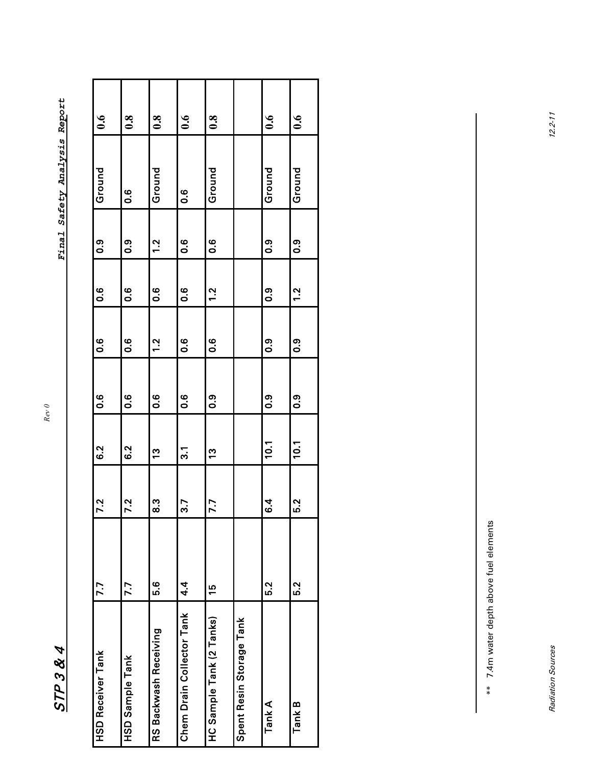$STP384$ 

STP 3 & 4 *Final Safety Analysis Report*  **Final Safety Analysis Report** 

| $\ddot{\bm{0}}$ .6       | $\boldsymbol{0.8}$  | 0.8                   | $\ddot{\bm{0}}$ .6        | $\ddot{\bm{0}}$ .8       |                          | $\ddot{\bullet}$ | $\ddot{0}$ .6 |
|--------------------------|---------------------|-----------------------|---------------------------|--------------------------|--------------------------|------------------|---------------|
| Ground                   | 0.6                 | Ground                | $\frac{6}{1}$             | Ground                   |                          | Ground           | Ground        |
| ၀ံ                       | ၀ံ                  | 1.2                   | 9.6                       | <u>၀</u>                 |                          | ၀ံ               | ၀:၀           |
| $\overline{0}$ .6        | 0.6                 | $\frac{6}{1}$         | $\overline{0}$ .6         | 1.2                      |                          | 0.9              | $\frac{2}{1}$ |
| $\overline{0}$ .         | $0.\overline{6}$    | 1.2                   | <b>9.6</b>                | <u>ہ ن</u>               |                          | 0.9              | ၀ံ            |
| $0.\overline{6}$         | $0.\overline{6}$    | $\frac{6}{1}$         | $\frac{6}{1}$             | ၀:၀                      |                          | 0.9              | 0.9           |
| 6.2                      | 6.2                 | <u>ო</u>              | $\overline{3}$            | <u>ო</u>                 |                          | 10.1             | <b>10.1</b>   |
| $\ddot{\mathbf{S}}$      | $\ddot{\mathbf{c}}$ | က္ပ                   | 3.7                       | 7.7                      |                          | <b>4</b><br>0    | 5.2           |
| 7.7                      | 7.7                 | 6.G                   | $4\ddot{ }$               | $\frac{5}{2}$            |                          | 5.2              | 5.2           |
| <b>HSD Receiver Tank</b> | HSD Sample Tank     | RS Backwash Receiving | Chem Drain Collector Tank | HC Sample Tank (2 Tanks) | Spent Resin Storage Tank | Tank A           | Tank B        |

\*\* 7.4m water depth above fuel elements \*\* 7.4m water depth above fuel elements

*Rev 0*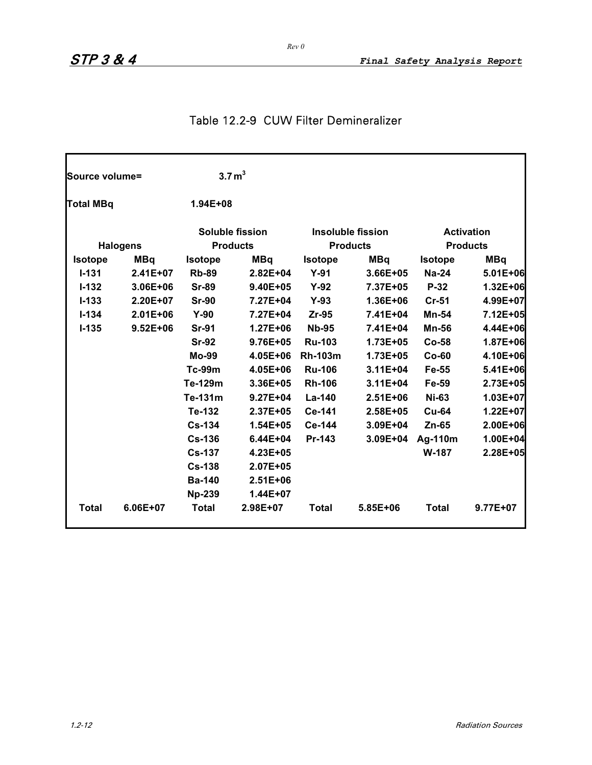## Table 12.2-9 CUW Filter Demineralizer

| Source volume=   |                 | 3.7 m <sup>3</sup> |                        |                |                          |                |                   |
|------------------|-----------------|--------------------|------------------------|----------------|--------------------------|----------------|-------------------|
| <b>Total MBq</b> |                 | $1.94E + 08$       |                        |                |                          |                |                   |
|                  |                 |                    | <b>Soluble fission</b> |                | <b>Insoluble fission</b> |                | <b>Activation</b> |
|                  | <b>Halogens</b> |                    | <b>Products</b>        |                | <b>Products</b>          |                | <b>Products</b>   |
| <b>Isotope</b>   | <b>MBq</b>      | <b>Isotope</b>     | <b>MBq</b>             | <b>Isotope</b> | <b>MBq</b>               | <b>Isotope</b> | <b>MBq</b>        |
| $I - 131$        | $2.41E+07$      | <b>Rb-89</b>       | $2.82E + 04$           | $Y-91$         | $3.66E + 05$             | <b>Na-24</b>   | 5.01E+06          |
| $I - 132$        | 3.06E+06        | <b>Sr-89</b>       | 9.40E+05               | $Y-92$         | 7.37E+05                 | P-32           | 1.32E+06          |
| $I - 133$        | 2.20E+07        | <b>Sr-90</b>       | 7.27E+04               | $Y-93$         | 1.36E+06                 | $Cr-51$        | 4.99E+07          |
| $I - 134$        | $2.01E + 06$    | $Y-90$             | 7.27E+04               | Zr-95          | 7.41E+04                 | Mn-54          | 7.12E+05          |
| $I - 135$        | $9.52E + 06$    | <b>Sr-91</b>       | $1.27E + 06$           | <b>Nb-95</b>   | 7.41E+04                 | <b>Mn-56</b>   | 4.44E+06          |
|                  |                 | <b>Sr-92</b>       | 9.76E+05               | <b>Ru-103</b>  | 1.73E+05                 | $Co-58$        | 1.87E+06          |
|                  |                 | <b>Mo-99</b>       | 4.05E+06               | <b>Rh-103m</b> | 1.73E+05                 | $Co-60$        | 4.10E+06          |
|                  |                 | <b>Tc-99m</b>      | 4.05E+06               | <b>Ru-106</b>  | $3.11E + 04$             | Fe-55          | 5.41E+06          |
|                  |                 | Te-129m            | 3.36E+05               | <b>Rh-106</b>  | $3.11E + 04$             | Fe-59          | 2.73E+05          |
|                  |                 | Te-131m            | $9.27E + 04$           | La-140         | $2.51E + 06$             | <b>Ni-63</b>   | 1.03E+07          |
|                  |                 | Te-132             | 2.37E+05               | Ce-141         | $2.58E + 05$             | <b>Cu-64</b>   | 1.22E+07          |
|                  |                 | <b>Cs-134</b>      | 1.54E+05               | Ce-144         | 3.09E+04                 | $Zn-65$        | 2.00E+06          |
|                  |                 | <b>Cs-136</b>      | $6.44E + 04$           | Pr-143         | 3.09E+04                 | Ag-110m        | 1.00E+04          |
|                  |                 | <b>Cs-137</b>      | 4.23E+05               |                |                          | W-187          | 2.28E+05          |
|                  |                 | <b>Cs-138</b>      | 2.07E+05               |                |                          |                |                   |
|                  |                 | <b>Ba-140</b>      | $2.51E + 06$           |                |                          |                |                   |
|                  |                 | <b>Np-239</b>      | $1.44E + 07$           |                |                          |                |                   |
| <b>Total</b>     | 6.06E+07        | <b>Total</b>       | 2.98E+07               | <b>Total</b>   | 5.85E+06                 | <b>Total</b>   | 9.77E+07          |

*Rev 0*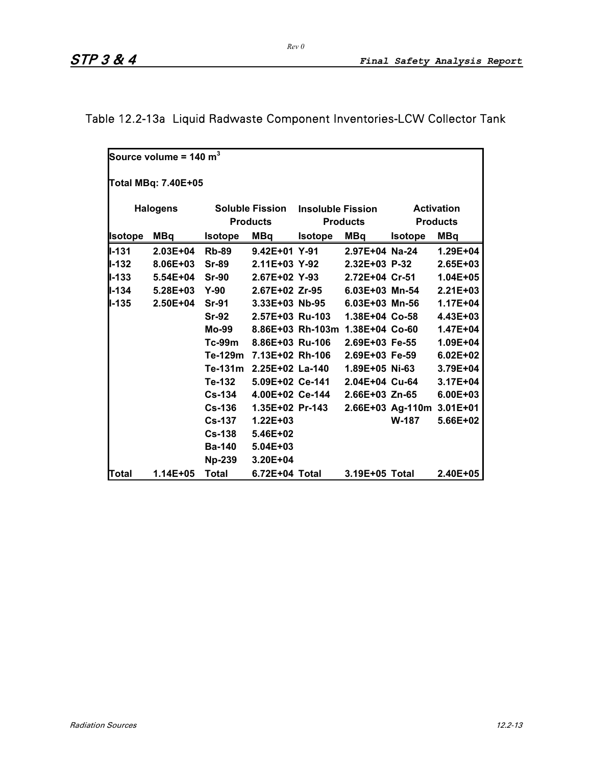# Table 12.2-13a Liquid Radwaste Component Inventories-LCW Collector Tank

|                | Source volume = 140 $m^3$ |                |                                           |                          |                                 |                           |                                      |  |  |  |  |  |
|----------------|---------------------------|----------------|-------------------------------------------|--------------------------|---------------------------------|---------------------------|--------------------------------------|--|--|--|--|--|
|                | Total MBq: 7.40E+05       |                |                                           |                          |                                 |                           |                                      |  |  |  |  |  |
|                | <b>Halogens</b>           |                | <b>Soluble Fission</b><br><b>Products</b> | <b>Insoluble Fission</b> | <b>Products</b>                 |                           | <b>Activation</b><br><b>Products</b> |  |  |  |  |  |
| <b>Isotope</b> | <b>MBq</b>                | <b>Isotope</b> | <b>MBq</b>                                | <b>Isotope</b>           | <b>MBq</b>                      | <b>Isotope</b>            | <b>MBq</b>                           |  |  |  |  |  |
| $II - 131$     | $2.03E + 04$              | <b>Rb-89</b>   | 9.42E+01 Y-91                             |                          | 2.97E+04 Na-24                  |                           | $1.29E + 04$                         |  |  |  |  |  |
| <b>II-132</b>  | 8.06E+03                  | <b>Sr-89</b>   | 2.11E+03 Y-92                             |                          | 2.32E+03 P-32                   |                           | $2.65E + 03$                         |  |  |  |  |  |
| <b>II-133</b>  | $5.54E + 04$              | $Sr-90$        | 2.67E+02 Y-93                             |                          | 2.72E+04 Cr-51                  |                           | $1.04E + 05$                         |  |  |  |  |  |
| $II - 134$     | $5.28E + 03$              | <b>Y-90</b>    | 2.67E+02 Zr-95                            |                          | 6.03E+03 Mn-54                  |                           | $2.21E + 03$                         |  |  |  |  |  |
| <b>I</b> I-135 | 2.50E+04                  | <b>Sr-91</b>   | 3.33E+03 Nb-95                            |                          | 6.03E+03 Mn-56                  |                           | $1.17E + 04$                         |  |  |  |  |  |
|                |                           | <b>Sr-92</b>   | 2.57E+03 Ru-103                           |                          | 1.38E+04 Co-58                  |                           | 4.43E+03                             |  |  |  |  |  |
|                |                           | Mo-99          |                                           |                          | 8.86E+03 Rh-103m 1.38E+04 Co-60 |                           | $1.47E + 04$                         |  |  |  |  |  |
|                |                           | Tc-99m         | 8.86E+03 Ru-106                           |                          | 2.69E+03 Fe-55                  |                           | $1.09E + 04$                         |  |  |  |  |  |
|                |                           |                | Te-129m 7.13E+02 Rh-106                   |                          | 2.69E+03 Fe-59                  |                           | $6.02E + 02$                         |  |  |  |  |  |
|                |                           | Te-131m        | 2.25E+02 La-140                           |                          | 1.89E+05 Ni-63                  |                           | 3.79E+04                             |  |  |  |  |  |
|                |                           | Te-132         |                                           | 5.09E+02 Ce-141          | 2.04E+04 Cu-64                  |                           | 3.17E+04                             |  |  |  |  |  |
|                |                           | <b>Cs-134</b>  | 4.00E+02 Ce-144                           |                          | 2.66E+03 Zn-65                  |                           | $6.00E + 03$                         |  |  |  |  |  |
|                |                           | <b>Cs-136</b>  | 1.35E+02 Pr-143                           |                          |                                 | 2.66E+03 Ag-110m 3.01E+01 |                                      |  |  |  |  |  |
|                |                           | <b>Cs-137</b>  | $1.22E + 03$                              |                          |                                 | <b>W-187</b>              | 5.66E+02                             |  |  |  |  |  |
|                |                           | <b>Cs-138</b>  | 5.46E+02                                  |                          |                                 |                           |                                      |  |  |  |  |  |
|                |                           | <b>Ba-140</b>  | $5.04E + 03$                              |                          |                                 |                           |                                      |  |  |  |  |  |
|                |                           | <b>Np-239</b>  | 3.20E+04                                  |                          |                                 |                           |                                      |  |  |  |  |  |
| Total          | 1.14E+05                  | <b>Total</b>   | 6.72E+04 Total                            |                          | 3.19E+05 Total                  |                           | $2.40E + 05$                         |  |  |  |  |  |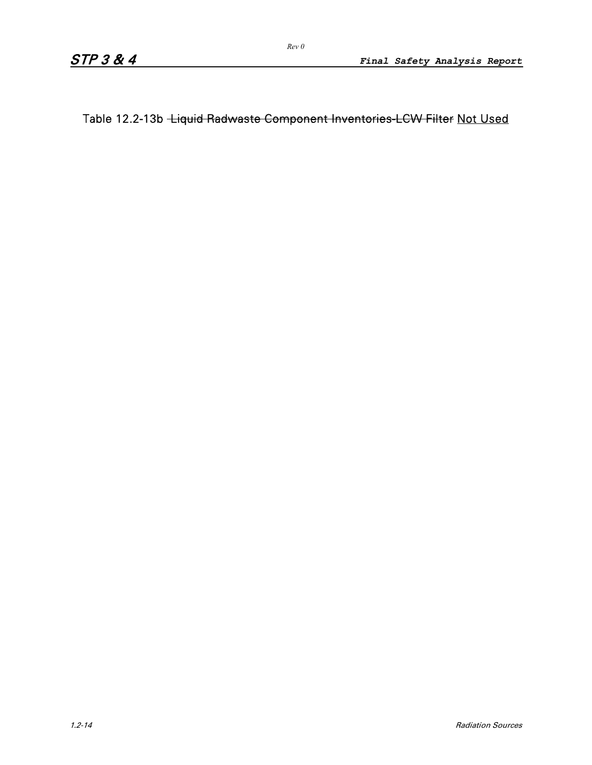Table 12.2-13b Liquid Radwaste Component Inventories-LCW Filter Not Used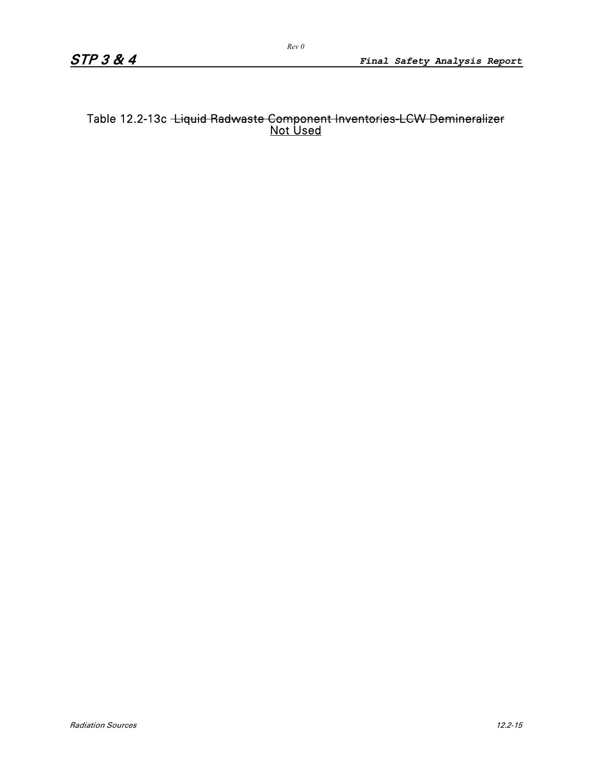### Table 12.2-13c <del>·Liquid Radwaste Component Inventories-LCW Demineralizer</del> Not Used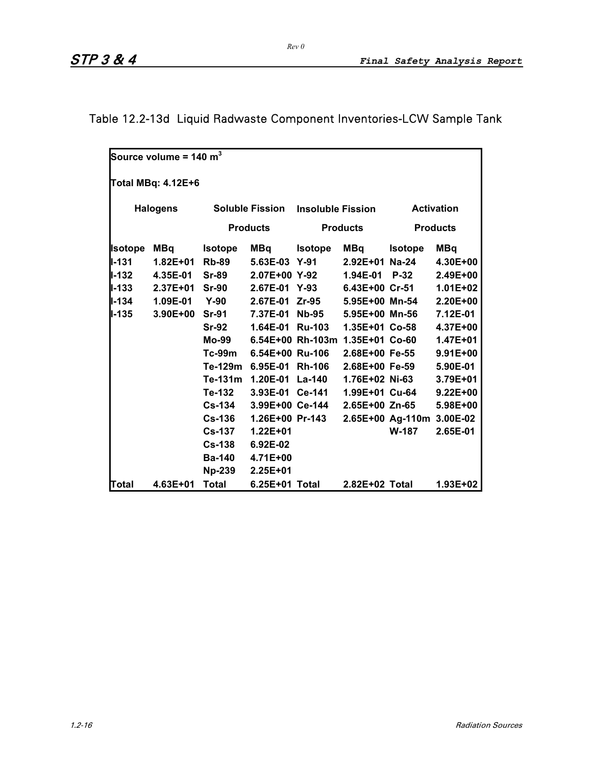# Table 12.2-13d Liquid Radwaste Component Inventories-LCW Sample Tank

|               | Source volume = 140 $m^3$ |                |                        |                          |                                 |                           |                   |  |  |  |
|---------------|---------------------------|----------------|------------------------|--------------------------|---------------------------------|---------------------------|-------------------|--|--|--|
|               | Total MBq: 4.12E+6        |                |                        |                          |                                 |                           |                   |  |  |  |
|               | <b>Halogens</b>           |                | <b>Soluble Fission</b> | <b>Insoluble Fission</b> |                                 |                           | <b>Activation</b> |  |  |  |
|               |                           |                | <b>Products</b>        |                          | <b>Products</b>                 |                           | <b>Products</b>   |  |  |  |
| Isotope       | MBq                       | <b>Isotope</b> | <b>MBq</b>             | <b>Isotope</b>           | MBq                             | <b>Isotope</b>            | <b>MBq</b>        |  |  |  |
| $I - 131$     | $1.82E + 01$              | <b>Rb-89</b>   | $5.63E-03$             | $Y-91$                   | $2.92E + 01$                    | $Na-24$                   | 4.30E+00          |  |  |  |
| II-132        | 4.35E-01                  | <b>Sr-89</b>   | 2.07E+00 Y-92          |                          | 1.94E-01                        | $P-32$                    | 2.49E+00          |  |  |  |
| II-133        | $2.37E + 01$              | <b>Sr-90</b>   | 2.67E-01               | $Y-93$                   | 6.43E+00 Cr-51                  |                           | $1.01E + 02$      |  |  |  |
| <b>II-134</b> | 1.09E-01                  | $Y-90$         | 2.67E-01               | Zr-95                    | 5.95E+00 Mn-54                  |                           | 2.20E+00          |  |  |  |
| ll-135        | $3.90E + 00$              | <b>Sr-91</b>   | 7.37E-01               | Nb-95                    | 5.95E+00 Mn-56                  |                           | 7.12E-01          |  |  |  |
|               |                           | <b>Sr-92</b>   | 1.64E-01               | <b>Ru-103</b>            | 1.35E+01 Co-58                  |                           | 4.37E+00          |  |  |  |
|               |                           | Mo-99          |                        |                          | 6.54E+00 Rh-103m 1.35E+01 Co-60 |                           | 1.47E+01          |  |  |  |
|               |                           | $Tc-99m$       | 6.54E+00 Ru-106        |                          | 2.68E+00 Fe-55                  |                           | $9.91E + 00$      |  |  |  |
|               |                           | Te-129m        | 6.95E-01               | <b>Rh-106</b>            | 2.68E+00 Fe-59                  |                           | 5.90E-01          |  |  |  |
|               |                           | Te-131m        | 1.20E-01 La-140        |                          | 1.76E+02 Ni-63                  |                           | 3.79E+01          |  |  |  |
|               |                           | Te-132         | 3.93E-01 Ce-141        |                          | 1.99E+01 Cu-64                  |                           | $9.22E + 00$      |  |  |  |
|               |                           | <b>Cs-134</b>  | 3.99E+00 Ce-144        |                          | 2.65E+00 Zn-65                  |                           | 5.98E+00          |  |  |  |
|               |                           | <b>Cs-136</b>  | 1.26E+00 Pr-143        |                          |                                 | 2.65E+00 Ag-110m 3.00E-02 |                   |  |  |  |
|               |                           | <b>Cs-137</b>  | $1.22E + 01$           |                          |                                 | <b>W-187</b>              | 2.65E-01          |  |  |  |
|               |                           | <b>Cs-138</b>  | 6.92E-02               |                          |                                 |                           |                   |  |  |  |
|               |                           | <b>Ba-140</b>  | 4.71E+00               |                          |                                 |                           |                   |  |  |  |
|               |                           | <b>Np-239</b>  | 2.25E+01               |                          |                                 |                           |                   |  |  |  |
| Total         | 4.63E+01                  | <b>Total</b>   | 6.25E+01 Total         |                          | 2.82E+02 Total                  |                           | 1.93E+02          |  |  |  |

*Rev 0*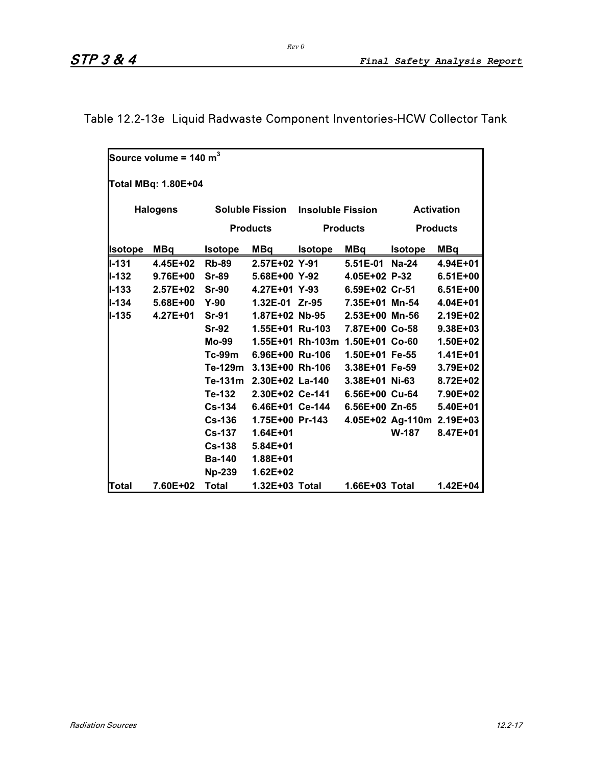# Table 12.2-13e Liquid Radwaste Component Inventories-HCW Collector Tank

|                | Source volume = 140 $m^3$ |                |                         |                          |                                 |                |                           |  |  |  |
|----------------|---------------------------|----------------|-------------------------|--------------------------|---------------------------------|----------------|---------------------------|--|--|--|
|                | Total MBq: 1.80E+04       |                |                         |                          |                                 |                |                           |  |  |  |
|                | <b>Halogens</b>           |                | <b>Soluble Fission</b>  | <b>Insoluble Fission</b> |                                 |                | <b>Activation</b>         |  |  |  |
|                |                           |                | <b>Products</b>         |                          | <b>Products</b>                 |                | <b>Products</b>           |  |  |  |
|                |                           |                |                         |                          |                                 |                |                           |  |  |  |
| <b>Isotope</b> | MBq                       | <b>Isotope</b> | MBq                     | <b>Isotope</b>           | MBq                             | <b>Isotope</b> | <b>MBq</b>                |  |  |  |
| ll-131         | 4.45E+02                  | <b>Rb-89</b>   | 2.57E+02 Y-91           |                          | 5.51E-01                        | $Na-24$        | 4.94E+01                  |  |  |  |
| $II - 132$     | 9.76E+00                  | <b>Sr-89</b>   | 5.68E+00 Y-92           |                          | 4.05E+02 P-32                   |                | $6.51E+00$                |  |  |  |
| $II - 133$     | $2.57E+02$                | $Sr-90$        | 4.27E+01 Y-93           |                          | 6.59E+02 Cr-51                  |                | $6.51E + 00$              |  |  |  |
| ll-134         | 5.68E+00                  | $Y-90$         |                         | 1.32E-01 Zr-95           | 7.35E+01 Mn-54                  |                | $4.04E + 01$              |  |  |  |
| ll-135         | $4.27E + 01$              | <b>Sr-91</b>   |                         | 1.87E+02 Nb-95           | 2.53E+00 Mn-56                  |                | 2.19E+02                  |  |  |  |
|                |                           | <b>Sr-92</b>   |                         | 1.55E+01 Ru-103          | 7.87E+00 Co-58                  |                | 9.38E+03                  |  |  |  |
|                |                           | Mo-99          |                         |                          | 1.55E+01 Rh-103m 1.50E+01 Co-60 |                | 1.50E+02                  |  |  |  |
|                |                           | Tc-99m         | 6.96E+00 Ru-106         |                          | 1.50E+01 Fe-55                  |                | $1.41E + 01$              |  |  |  |
|                |                           |                | Te-129m 3.13E+00 Rh-106 |                          | $3.38E+01$ Fe-59                |                | 3.79E+02                  |  |  |  |
|                |                           |                | Te-131m 2.30E+02 La-140 |                          | 3.38E+01 Ni-63                  |                | 8.72E+02                  |  |  |  |
|                |                           | Te-132         |                         | 2.30E+02 Ce-141          | 6.56E+00 Cu-64                  |                | 7.90E+02                  |  |  |  |
|                |                           | <b>Cs-134</b>  | 6.46E+01 Ce-144         |                          | 6.56E+00 Zn-65                  |                | 5.40E+01                  |  |  |  |
|                |                           | <b>Cs-136</b>  | 1.75E+00 Pr-143         |                          |                                 |                | 4.05E+02 Ag-110m 2.19E+03 |  |  |  |
|                |                           | <b>Cs-137</b>  | $1.64E + 01$            |                          |                                 | <b>W-187</b>   | 8.47E+01                  |  |  |  |
|                |                           | $Cs-138$       | 5.84E+01                |                          |                                 |                |                           |  |  |  |
|                |                           | <b>Ba-140</b>  | 1.88E+01                |                          |                                 |                |                           |  |  |  |
|                |                           | <b>Np-239</b>  | $1.62E + 02$            |                          |                                 |                |                           |  |  |  |
| Total          | 7.60E+02                  | <b>Total</b>   | 1.32E+03 Total          |                          | 1.66E+03 Total                  |                | 1.42E+04                  |  |  |  |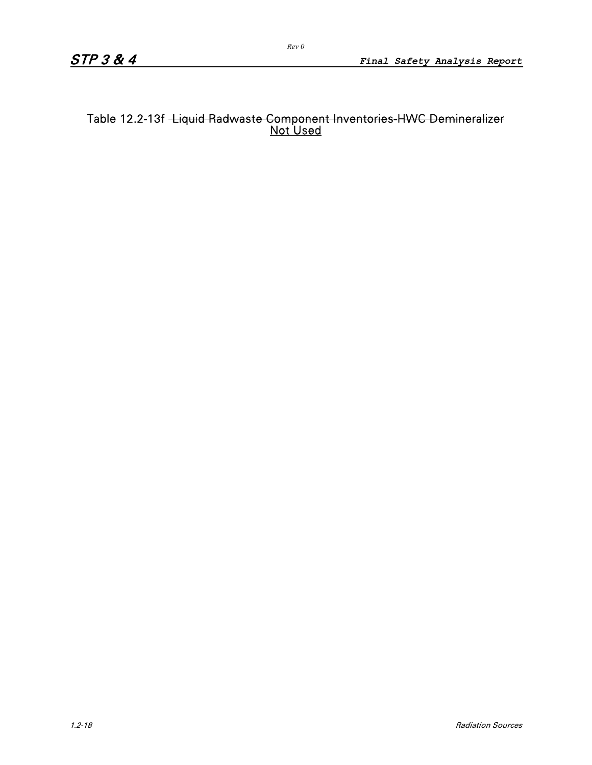### Table 12.2-13f <del>-Liquid Radwaste Component Inventories-HWC Demineralizer</del> Not Used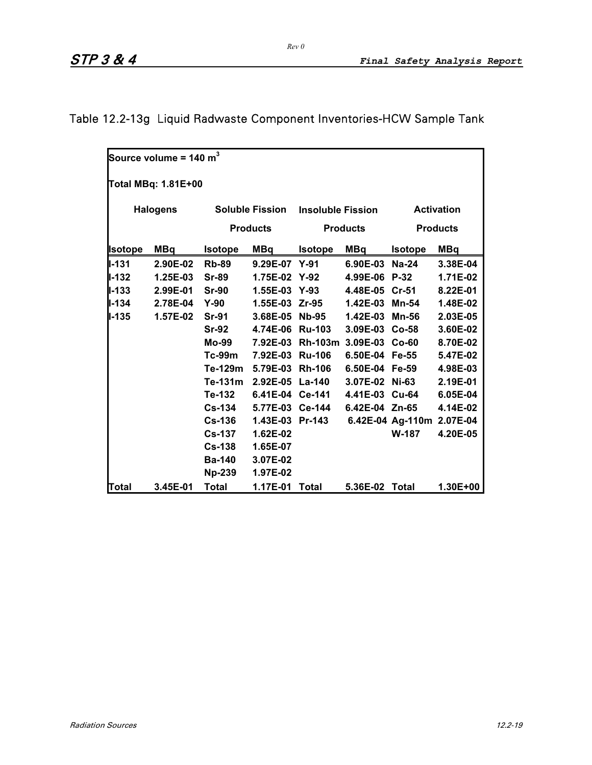|                | Source volume = 140 $\textsf{m}^{3}$ |                |                        |                                 |                 |                           |                   |
|----------------|--------------------------------------|----------------|------------------------|---------------------------------|-----------------|---------------------------|-------------------|
|                | Total MBq: 1.81E+00                  |                |                        |                                 |                 |                           |                   |
|                | <b>Halogens</b>                      |                | <b>Soluble Fission</b> | <b>Insoluble Fission</b>        |                 |                           | <b>Activation</b> |
|                |                                      |                | <b>Products</b>        |                                 | <b>Products</b> |                           | <b>Products</b>   |
| <b>Isotope</b> | MBq                                  | <b>Isotope</b> | MBq                    | <b>Isotope</b>                  | MBq             | <b>Isotope</b>            | <b>MBq</b>        |
| <b>II-131</b>  | 2.90E-02                             | <b>Rb-89</b>   | 9.29E-07 Y-91          |                                 | 6.90E-03        | Na-24                     | 3.38E-04          |
| $I - 132$      | 1.25E-03                             | <b>Sr-89</b>   |                        | 1.75E-02 Y-92                   | 4.99E-06 P-32   |                           | 1.71E-02          |
| $I - 133$      | 2.99E-01                             | $Sr-90$        |                        | 1.55E-03 Y-93                   | 4.48E-05 Cr-51  |                           | 8.22E-01          |
| $1 - 134$      | 2.78E-04 Y-90                        |                |                        | 1.55E-03 Zr-95                  | 1.42E-03        | <b>Mn-54</b>              | 1.48E-02          |
| $1 - 135$      | 1.57E-02                             | <b>Sr-91</b>   |                        | 3.68E-05 Nb-95                  | 1.42E-03 Mn-56  |                           | 2.03E-05          |
|                |                                      | $Sr-92$        |                        | 4.74E-06 Ru-103                 | 3.09E-03 Co-58  |                           | 3.60E-02          |
|                |                                      | Mo-99          |                        | 7.92E-03 Rh-103m 3.09E-03 Co-60 |                 |                           | 8.70E-02          |
|                |                                      | Tc-99m         |                        | 7.92E-03 Ru-106                 | 6.50E-04 Fe-55  |                           | 5.47E-02          |
|                |                                      | Te-129m        |                        | 5.79E-03 Rh-106                 | 6.50E-04 Fe-59  |                           | 4.98E-03          |
|                |                                      | Te-131m        |                        | 2.92E-05 La-140                 | 3.07E-02 Ni-63  |                           | 2.19E-01          |
|                |                                      | Te-132         |                        | 6.41E-04 Ce-141                 |                 | 4.41E-03 Cu-64            | 6.05E-04          |
|                |                                      | <b>Cs-134</b>  |                        | 5.77E-03 Ce-144                 |                 | 6.42E-04 Zn-65            | 4.14E-02          |
|                |                                      | <b>Cs-136</b>  |                        | 1.43E-03 Pr-143                 |                 | 6.42E-04 Ag-110m 2.07E-04 |                   |
|                |                                      | <b>Cs-137</b>  | 1.62E-02               |                                 |                 | <b>W-187</b>              | 4.20E-05          |
|                |                                      | $Cs-138$       | 1.65E-07               |                                 |                 |                           |                   |
|                |                                      | <b>Ba-140</b>  | 3.07E-02               |                                 |                 |                           |                   |
|                |                                      | <b>Np-239</b>  | 1.97E-02               |                                 |                 |                           |                   |
| Total          | 3.45E-01                             | <b>Total</b>   | 1.17E-01 Total         |                                 | 5.36E-02 Total  |                           | 1.30E+00          |

# Table 12.2-13g Liquid Radwaste Component Inventories-HCW Sample Tank

*Rev 0*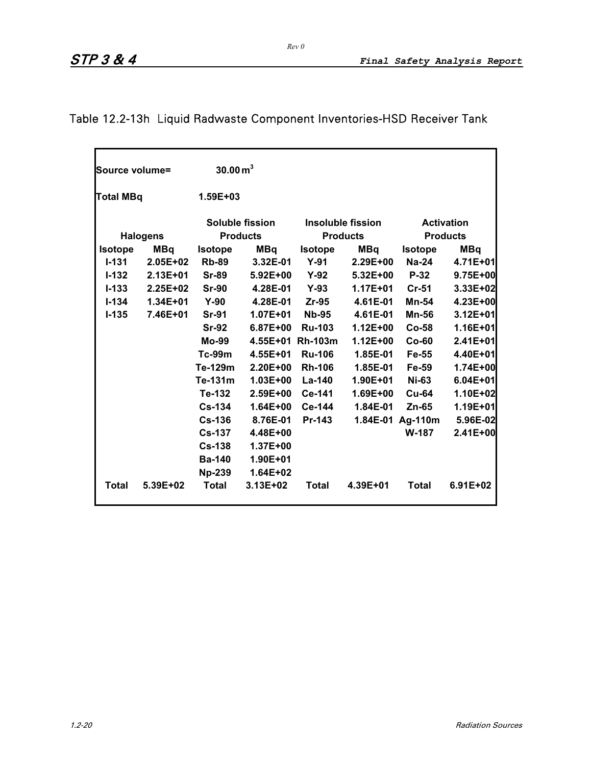| Source volume= |                  | $30.00\,\mathrm{m}^3$ |                 |                  |                   |                  |                   |
|----------------|------------------|-----------------------|-----------------|------------------|-------------------|------------------|-------------------|
|                | <b>Total MBq</b> |                       | $1.59E + 03$    |                  |                   |                  |                   |
|                |                  |                       | Soluble fission |                  | Insoluble fission |                  | <b>Activation</b> |
|                | <b>Halogens</b>  | <b>Products</b>       |                 |                  | <b>Products</b>   |                  | <b>Products</b>   |
| <b>Isotope</b> | <b>MBq</b>       | <b>Isotope</b>        | <b>MBq</b>      | <b>Isotope</b>   | MBa               | <b>Isotope</b>   | <b>MBq</b>        |
| $I - 131$      | $2.05E + 02$     | <b>Rb-89</b>          | 3.32E-01        | $Y-91$           | $2.29E + 00$      | $Na-24$          | 4.71E+01          |
| $I - 132$      | $2.13E + 01$     | <b>Sr-89</b>          | $5.92E + 00$    | $Y-92$           | $5.32E + 00$      | $P-32$           | 9.75E+00          |
| $I - 133$      | $2.25E + 02$     | <b>Sr-90</b>          | 4.28E-01        | $Y-93$           | $1.17E + 01$      | $Cr-51$          | 3.33E+02          |
| $1 - 134$      | $1.34E + 01$     | $Y-90$                | 4.28E-01        | $Zr-95$          | 4.61E-01          | <b>Mn-54</b>     | 4.23E+00          |
| $I - 135$      | 7.46E+01         | <b>Sr-91</b>          | $1.07E + 01$    | <b>Nb-95</b>     | 4.61E-01          | <b>Mn-56</b>     | 3.12E+01          |
|                |                  | <b>Sr-92</b>          | $6.87E + 00$    | <b>Ru-103</b>    | $1.12E + 00$      | $Co-58$          | $1.16E + 01$      |
|                |                  | <b>Mo-99</b>          |                 | 4.55E+01 Rh-103m | $1.12E + 00$      | $Co-60$          | 2.41E+01          |
|                |                  | $Tc-99m$              | $4.55E + 01$    | <b>Ru-106</b>    | 1.85E-01          | Fe-55            | 4.40E+01          |
|                |                  | Te-129m               | $2.20E + 00$    | <b>Rh-106</b>    | 1.85E-01          | Fe-59            | 1.74E+00          |
|                |                  | Te-131m               | $1.03E + 00$    | La-140           | $1.90E + 01$      | <b>Ni-63</b>     | $6.04E + 01$      |
|                |                  | Te-132                | 2.59E+00        | Ce-141           | $1.69E + 00$      | $Cu-64$          | 1.10E+02          |
|                |                  | $Cs - 134$            | $1.64E + 00$    | Ce-144           | 1.84E-01          | $Zn-65$          | 1.19E+01          |
|                |                  | $Cs-136$              | 8.76E-01        | Pr-143           |                   | 1.84E-01 Ag-110m | 5.96E-02          |
|                |                  | $Cs-137$              | 4.48E+00        |                  |                   | <b>W-187</b>     | 2.41E+00          |
|                |                  | $Cs-138$              | $1.37E + 00$    |                  |                   |                  |                   |
|                |                  | <b>Ba-140</b>         | 1.90E+01        |                  |                   |                  |                   |
|                |                  | <b>Np-239</b>         | $1.64E + 02$    |                  |                   |                  |                   |
| <b>Total</b>   | 5.39E+02         | <b>Total</b>          | 3.13E+02        | <b>Total</b>     | 4.39E+01          | <b>Total</b>     | $6.91E + 02$      |

# Table 12.2-13h Liquid Radwaste Component Inventories-HSD Receiver Tank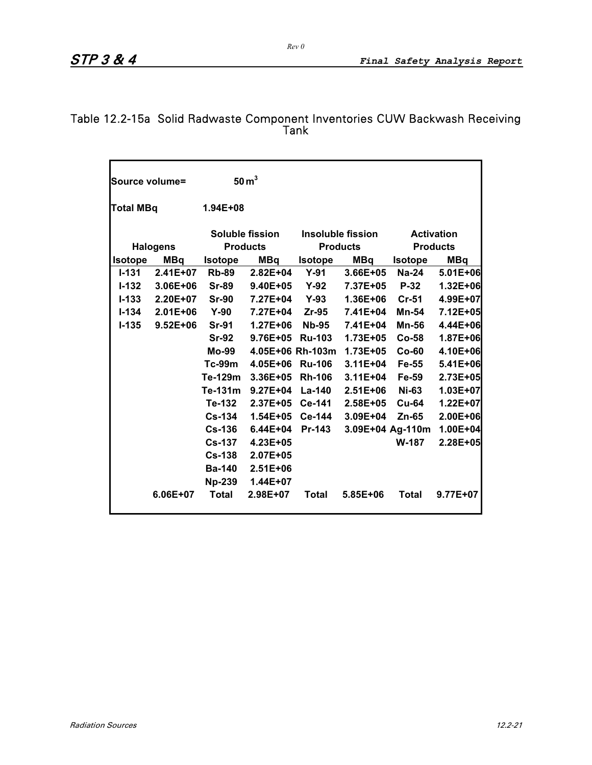### Table 12.2-15a Solid Radwaste Component Inventories CUW Backwash Receiving Tank

| Source volume= |                                  |                                           | 50 m <sup>3</sup> |                                      |              |                  |                                      |
|----------------|----------------------------------|-------------------------------------------|-------------------|--------------------------------------|--------------|------------------|--------------------------------------|
|                | <b>Total MBq</b><br>$1.94E + 08$ |                                           |                   |                                      |              |                  |                                      |
|                | <b>Halogens</b>                  | <b>Soluble fission</b><br><b>Products</b> |                   | Insoluble fission<br><b>Products</b> |              |                  | <b>Activation</b><br><b>Products</b> |
| <b>Isotope</b> | <b>MBq</b>                       | <b>Isotope</b>                            | <b>MBq</b>        | <b>Isotope</b>                       | <b>MBq</b>   | <b>Isotope</b>   | <b>MBq</b>                           |
| $I - 131$      | 2.41E+07                         | <b>Rb-89</b>                              | $2.82E + 04$      | $Y-91$                               | 3.66E+05     | $Na-24$          | 5.01E+06                             |
| $1 - 132$      | $3.06E + 06$                     | <b>Sr-89</b>                              | $9.40E + 05$      | Y-92                                 | 7.37E+05     | $P-32$           | 1.32E+06                             |
| $I - 133$      | $2.20E + 07$                     | <b>Sr-90</b>                              | 7.27E+04          | Y-93                                 | $1.36E + 06$ | $Cr-51$          | 4.99E+07                             |
| $I - 134$      | $2.01E + 06$                     | $Y-90$                                    | 7.27E+04          | $Zr-95$                              | 7.41E+04     | Mn-54            | 7.12E+05                             |
| $I - 135$      | $9.52E + 06$                     | <b>Sr-91</b>                              | $1.27E + 06$      | <b>Nb-95</b>                         | 7.41E+04     | Mn-56            | 4.44E+06                             |
|                |                                  | <b>Sr-92</b>                              | 9.76E+05          | <b>Ru-103</b>                        | $1.73E + 05$ | $Co-58$          | 1.87E+06                             |
|                |                                  | Mo-99                                     |                   | 4.05E+06 Rh-103m                     | $1.73E + 05$ | $Co-60$          | 4.10E+06                             |
|                |                                  | $Tc-99m$                                  | $4.05E + 06$      | <b>Ru-106</b>                        | $3.11E + 04$ | Fe-55            | 5.41E+06                             |
|                |                                  | Te-129m                                   | $3.36E + 05$      | <b>Rh-106</b>                        | $3.11E + 04$ | Fe-59            | 2.73E+05                             |
|                |                                  | Te-131m                                   | $9.27E + 04$      | <b>La-140</b>                        | $2.51E + 06$ | <b>Ni-63</b>     | 1.03E+07                             |
|                |                                  | Te-132                                    | 2.37E+05          | <b>Ce-141</b>                        | $2.58E + 05$ | $Cu-64$          | 1.22E+07                             |
|                |                                  | $Cs-134$                                  | $1.54E + 05$      | <b>Ce-144</b>                        | 3.09E+04     | $Zn-65$          | 2.00E+06                             |
|                |                                  | $Cs-136$                                  | $6.44E + 04$      | Pr-143                               |              | 3.09E+04 Ag-110m | 1.00E+04                             |
|                |                                  | <b>Cs-137</b>                             | 4.23E+05          |                                      |              | <b>W-187</b>     | 2.28E+05                             |
|                |                                  | $Cs-138$                                  | 2.07E+05          |                                      |              |                  |                                      |
|                |                                  | <b>Ba-140</b>                             | $2.51E + 06$      |                                      |              |                  |                                      |
|                |                                  | <b>Np-239</b>                             | 1.44E+07          |                                      |              |                  |                                      |
|                | $6.06E + 07$                     | <b>Total</b>                              | 2.98E+07          | Total                                | $5.85E + 06$ | Total            | 9.77E+07                             |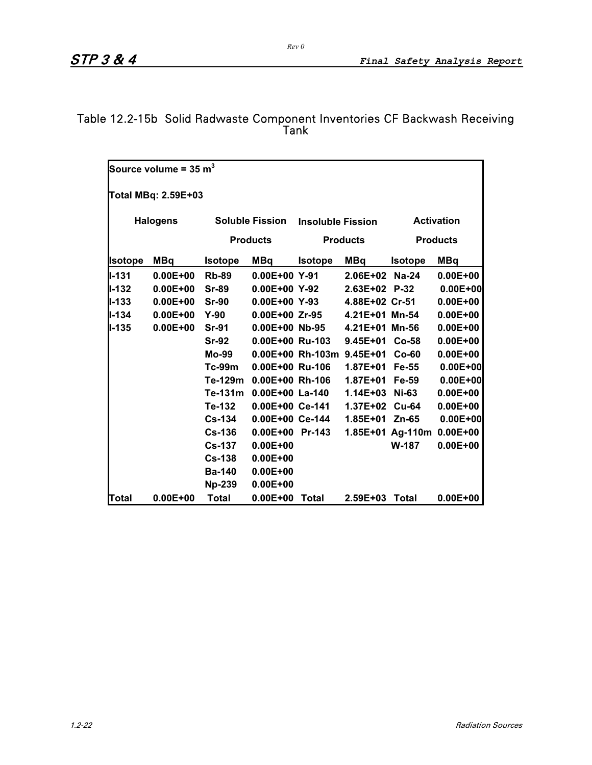### Table 12.2-15b Solid Radwaste Component Inventories CF Backwash Receiving Tank

| Source volume = 35 $m^3$ |                     |                |                        |                          |                           |                           |                   |  |  |
|--------------------------|---------------------|----------------|------------------------|--------------------------|---------------------------|---------------------------|-------------------|--|--|
|                          | Total MBq: 2.59E+03 |                |                        |                          |                           |                           |                   |  |  |
|                          | <b>Halogens</b>     |                | <b>Soluble Fission</b> | <b>Insoluble Fission</b> |                           |                           | <b>Activation</b> |  |  |
|                          |                     |                |                        |                          |                           |                           |                   |  |  |
|                          |                     |                | <b>Products</b>        |                          | <b>Products</b>           |                           | <b>Products</b>   |  |  |
| <b>Isotope</b>           | MBq                 | <b>Isotope</b> | <b>MBq</b>             | <b>Isotope</b>           | <b>MBq</b>                | <b>Isotope</b>            | <b>MBq</b>        |  |  |
| <b>II-131</b>            | $0.00E + 00$        | <b>Rb-89</b>   | $0.00E+00$ Y-91        |                          | 2.06E+02 Na-24            |                           | $0.00E + 00$      |  |  |
| ll-132                   | $0.00E + 00$        | <b>Sr-89</b>   | $0.00E + 00 Y - 92$    |                          | $2.63E+02$ P-32           |                           | $0.00E + 00$      |  |  |
| ll-133                   | $0.00E + 00$        | <b>Sr-90</b>   | $0.00E+00$ Y-93        |                          | 4.88E+02 Cr-51            |                           | $0.00E + 00$      |  |  |
| $II - 134$               | $0.00E + 00$        | $Y-90$         | $0.00E + 00$ Zr-95     |                          | 4.21E+01 Mn-54            |                           | $0.00E + 00$      |  |  |
| ll-135                   | $0.00E + 00$        | <b>Sr-91</b>   |                        | $0.00E + 00$ Nb-95       | 4.21E+01 Mn-56            |                           | $0.00E + 00$      |  |  |
|                          |                     | <b>Sr-92</b>   |                        | 0.00E+00 Ru-103          | $9.45E + 01$              | $Co-58$                   | $0.00E + 00$      |  |  |
|                          |                     | Mo-99          |                        |                          | 0.00E+00 Rh-103m 9.45E+01 | $Co-60$                   | $0.00E + 00$      |  |  |
|                          |                     | <b>Tc-99m</b>  | $0.00E + 00$ Ru-106    |                          | 1.87E+01                  | Fe-55                     | $0.00E + 00$      |  |  |
|                          |                     | Te-129m        | $0.00E+00$ Rh-106      |                          | 1.87E+01                  | Fe-59                     | $0.00E + 00$      |  |  |
|                          |                     | Te-131m        | $0.00E+00$ La-140      |                          | 1.14E+03 Ni-63            |                           | $0.00E + 00$      |  |  |
|                          |                     | Te-132         | 0.00E+00 Ce-141        |                          | 1.37E+02 Cu-64            |                           | $0.00E + 00$      |  |  |
|                          |                     | <b>Cs-134</b>  | 0.00E+00 Ce-144        |                          | $1.85E + 01$              | $Zn-65$                   | $0.00E + 00$      |  |  |
|                          |                     | <b>Cs-136</b>  | $0.00E+00$ Pr-143      |                          |                           | 1.85E+01 Ag-110m 0.00E+00 |                   |  |  |
|                          |                     | <b>Cs-137</b>  | $0.00E + 00$           |                          |                           | W-187                     | $0.00E + 00$      |  |  |
|                          |                     | <b>Cs-138</b>  | $0.00E + 00$           |                          |                           |                           |                   |  |  |
|                          |                     | <b>Ba-140</b>  | $0.00E + 00$           |                          |                           |                           |                   |  |  |
|                          |                     | <b>Np-239</b>  | $0.00E + 00$           |                          |                           |                           |                   |  |  |
| Total                    | $0.00E + 00$        | <b>Total</b>   | $0.00E + 00$           | Total                    | 2.59E+03 Total            |                           | $0.00E + 00$      |  |  |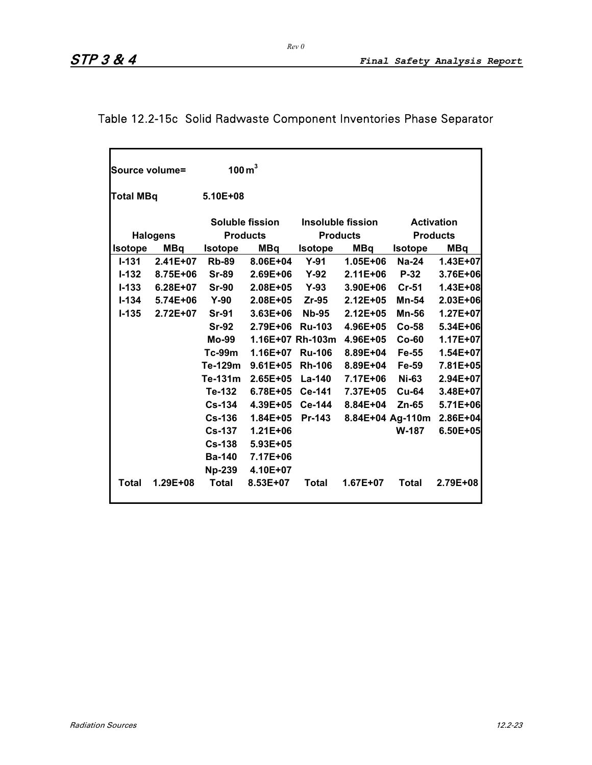# Table 12.2-15c Solid Radwaste Component Inventories Phase Separator

|                  | Source volume=  | $100 \,\mathrm{m}^3$ |                 |                  |                   |                  |                   |
|------------------|-----------------|----------------------|-----------------|------------------|-------------------|------------------|-------------------|
|                  |                 |                      |                 |                  |                   |                  |                   |
| <b>Total MBq</b> |                 | $5.10E + 08$         |                 |                  |                   |                  |                   |
|                  |                 |                      | Soluble fission |                  | Insoluble fission |                  | <b>Activation</b> |
|                  | <b>Halogens</b> |                      | <b>Products</b> |                  | <b>Products</b>   |                  | <b>Products</b>   |
| <b>Isotope</b>   | <b>MBq</b>      | <b>Isotope</b>       | <b>MBq</b>      | <b>Isotope</b>   | <b>MBq</b>        | <b>Isotope</b>   | <b>MBq</b>        |
| $I - 131$        | $2.41E + 07$    | <b>Rb-89</b>         | $8.06E + 04$    | $Y-91$           | $1.05E + 06$      | $Na-24$          | 1.43E+07          |
| $I - 132$        | 8.75E+06        | <b>Sr-89</b>         | $2.69E + 06$    | $Y-92$           | $2.11E + 06$      | <b>P-32</b>      | 3.76E+06          |
| $I - 133$        | $6.28E + 07$    | <b>Sr-90</b>         | $2.08E + 05$    | <b>Y-93</b>      | $3.90E + 06$      | Cr-51            | $1.43E + 08$      |
| $I - 134$        | 5.74E+06        | $Y-90$               | $2.08E + 05$    | $Zr-95$          | $2.12E + 05$      | Mn-54            | 2.03E+06          |
| $I - 135$        | 2.72E+07        | <b>Sr-91</b>         | $3.63E + 06$    | <b>Nb-95</b>     | $2.12E + 05$      | <b>Mn-56</b>     | 1.27E+07          |
|                  |                 | <b>Sr-92</b>         | $2.79E + 06$    | <b>Ru-103</b>    | $4.96E + 05$      | $Co-58$          | $5.34E + 06$      |
|                  |                 | Mo-99                |                 | 1.16E+07 Rh-103m | 4.96E+05          | $Co-60$          | 1.17E+07          |
|                  |                 | $Tc-99m$             | $1.16E + 07$    | <b>Ru-106</b>    | 8.89E+04          | Fe-55            | 1.54E+07          |
|                  |                 | Te-129m              | $9.61E + 05$    | <b>Rh-106</b>    | 8.89E+04          | Fe-59            | 7.81E+05          |
|                  |                 | Te-131m              | $2.65E + 05$    | La-140           | 7.17E+06          | <b>Ni-63</b>     | 2.94E+07          |
|                  |                 | Te-132               | $6.78E + 05$    | Ce-141           | 7.37E+05          | <b>Cu-64</b>     | 3.48E+07          |
|                  |                 | <b>Cs-134</b>        | 4.39E+05        | <b>Ce-144</b>    | 8.84E+04          | $Zn-65$          | 5.71E+06          |
|                  |                 | <b>Cs-136</b>        | $1.84E + 05$    | Pr-143           |                   | 8.84E+04 Ag-110m | 2.86E+04          |
|                  |                 | <b>Cs-137</b>        | $1.21E + 06$    |                  |                   | <b>W-187</b>     | 6.50E+05          |
|                  |                 | Cs-138               | 5.93E+05        |                  |                   |                  |                   |
|                  |                 | <b>Ba-140</b>        | 7.17E+06        |                  |                   |                  |                   |
|                  |                 | <b>Np-239</b>        | 4.10E+07        |                  |                   |                  |                   |
| <b>Total</b>     | $1.29E + 08$    | <b>Total</b>         | 8.53E+07        | Total            | $1.67E + 07$      | <b>Total</b>     | $2.79E + 08$      |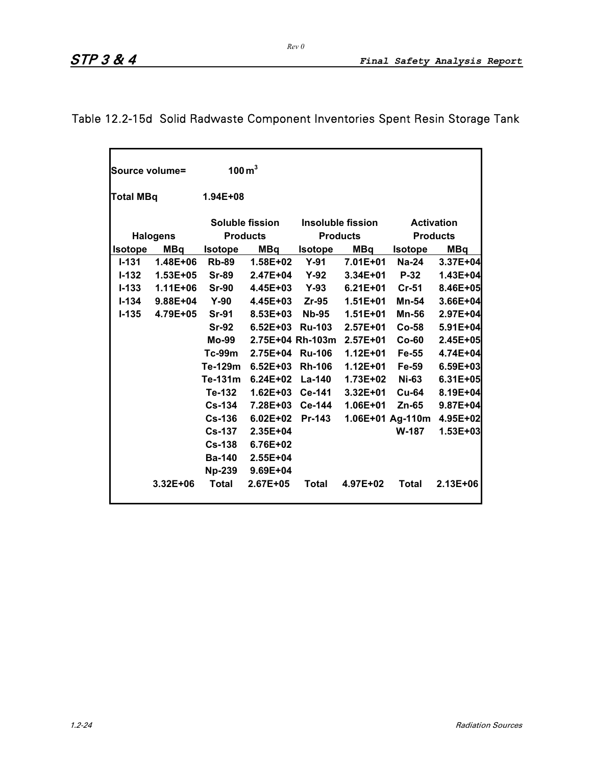# Table 12.2-15d Solid Radwaste Component Inventories Spent Resin Storage Tank

| Source volume=   |                 | $100 \,\mathrm{m}^3$                      |                  |                |                   |                   |                           |
|------------------|-----------------|-------------------------------------------|------------------|----------------|-------------------|-------------------|---------------------------|
| <b>Total MBq</b> |                 | $1.94E + 08$                              |                  |                |                   |                   |                           |
|                  |                 | <b>Soluble fission</b><br><b>Products</b> |                  |                | Insoluble fission | <b>Activation</b> |                           |
|                  | <b>Halogens</b> |                                           |                  |                | <b>Products</b>   |                   | <b>Products</b>           |
| <b>Isotope</b>   | <b>MBq</b>      | <b>Isotope</b>                            | MBq              | <b>Isotope</b> | MBq               | <b>Isotope</b>    | <b>MBq</b>                |
| $I - 131$        | $1.48E + 06$    | <b>Rb-89</b>                              | 1.58E+02         | $Y-91$         | $7.01E + 01$      | <b>Na-24</b>      | 3.37E+04                  |
| $I - 132$        | $1.53E + 05$    | <b>Sr-89</b>                              | 2.47E+04         | $Y-92$         | $3.34E + 01$      | <b>P-32</b>       | 1.43E+04                  |
| $I - 133$        | $1.11E + 06$    | <b>Sr-90</b>                              | $4.45E + 03$     | <b>Y-93</b>    | $6.21E + 01$      | $Cr-51$           | 8.46E+05                  |
| $I - 134$        | $9.88E + 04$    | $Y-90$                                    | 4.45E+03         | Zr-95          | $1.51E + 01$      | Mn-54             | 3.66E+04                  |
| $I - 135$        | 4.79E+05        | <b>Sr-91</b>                              | 8.53E+03         | <b>Nb-95</b>   | $1.51E + 01$      | <b>Mn-56</b>      | 2.97E+04                  |
|                  |                 | <b>Sr-92</b>                              | $6.52E + 03$     | <b>Ru-103</b>  | $2.57E+01$        | $Co-58$           | 5.91E+04                  |
|                  |                 | Mo-99                                     | 2.75E+04 Rh-103m |                | $2.57E + 01$      | $Co-60$           | 2.45E+05                  |
|                  |                 | $Tc-99m$                                  | 2.75E+04 Ru-106  |                | $1.12E + 01$      | Fe-55             | 4.74E+04                  |
|                  |                 | Te-129m                                   | $6.52E + 03$     | <b>Rh-106</b>  | $1.12E + 01$      | <b>Fe-59</b>      | 6.59E+03                  |
|                  |                 | Te-131m                                   | $6.24E + 02$     | <b>La-140</b>  | 1.73E+02          | <b>Ni-63</b>      | $6.31E + 05$              |
|                  |                 | Te-132                                    | $1.62E + 03$     | <b>Ce-141</b>  | $3.32E + 01$      | <b>Cu-64</b>      | 8.19E+04                  |
|                  |                 | <b>Cs-134</b>                             | 7.28E+03         | <b>Ce-144</b>  | $1.06E + 01$      | Zn-65             | 9.87E+04                  |
|                  |                 | $Cs-136$                                  | $6.02E + 02$     | Pr-143         |                   |                   | 1.06E+01 Ag-110m 4.95E+02 |
|                  |                 | <b>Cs-137</b>                             | $2.35E+04$       |                |                   | <b>W-187</b>      | 1.53E+03                  |
|                  |                 | $Cs-138$                                  | 6.76E+02         |                |                   |                   |                           |
|                  |                 | <b>Ba-140</b>                             | 2.55E+04         |                |                   |                   |                           |
|                  |                 | <b>Np-239</b>                             | $9.69E + 04$     |                |                   |                   |                           |
|                  | 3.32E+06        | <b>Total</b>                              | 2.67E+05         | <b>Total</b>   | 4.97E+02          | Total             | $2.13E + 06$              |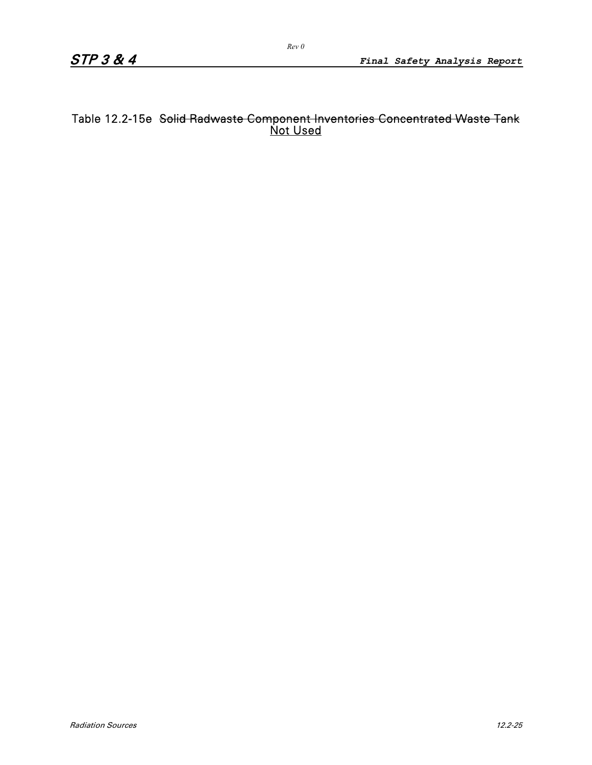### Table 12.2-15e <del>Solid Radwaste Component Inventories Concentrated Waste Tank</del> Not Used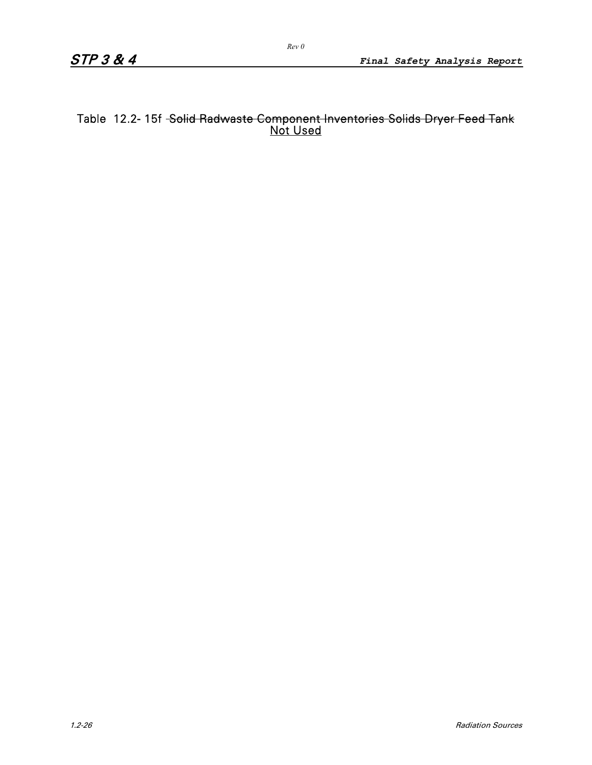### Table 12.2- 15f <del>-Solid Radwaste Component Inventories Solids Dryer Feed Tank</del> Not Used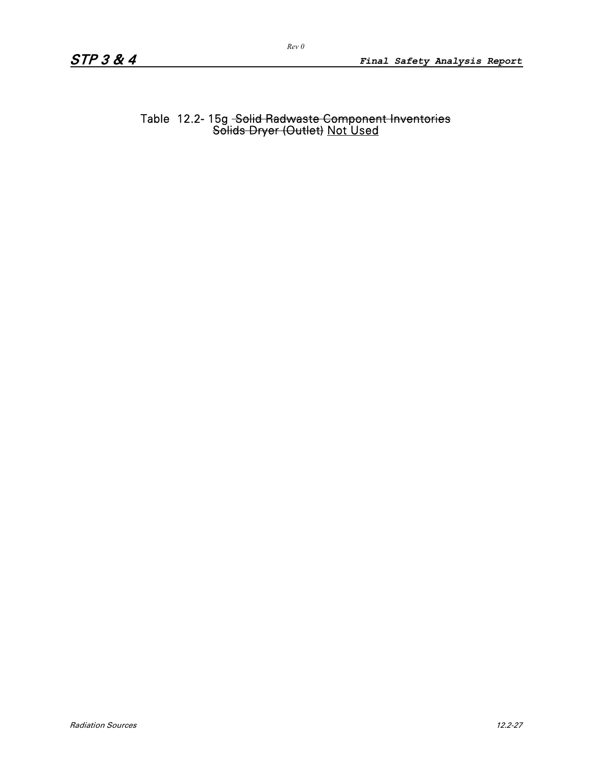Table 12.2- 15g <del>-Solid Radwaste Component Inventories</del> Solids Dryer (Outlet) Not Used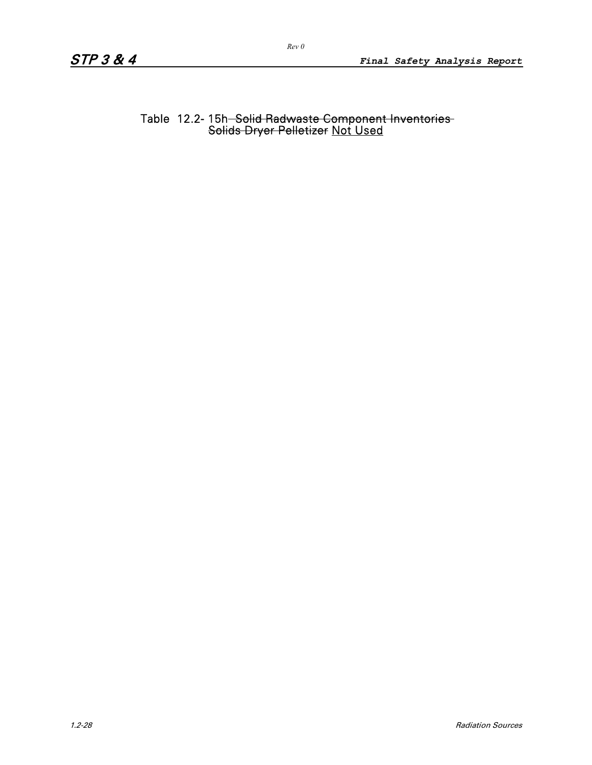Table 12.2- 15h<del>- Solid Radwaste Component Inventories</del> Solids Dryer Pelletizer Not Used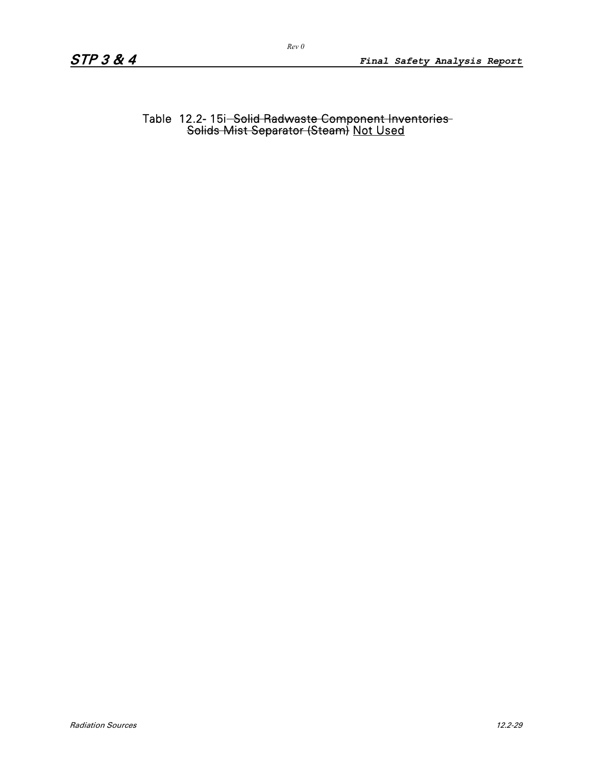Table 12.2- 15i<del>- Solid Radwaste Component Inventories </del> Solids Mist Separator (Steam) Not Used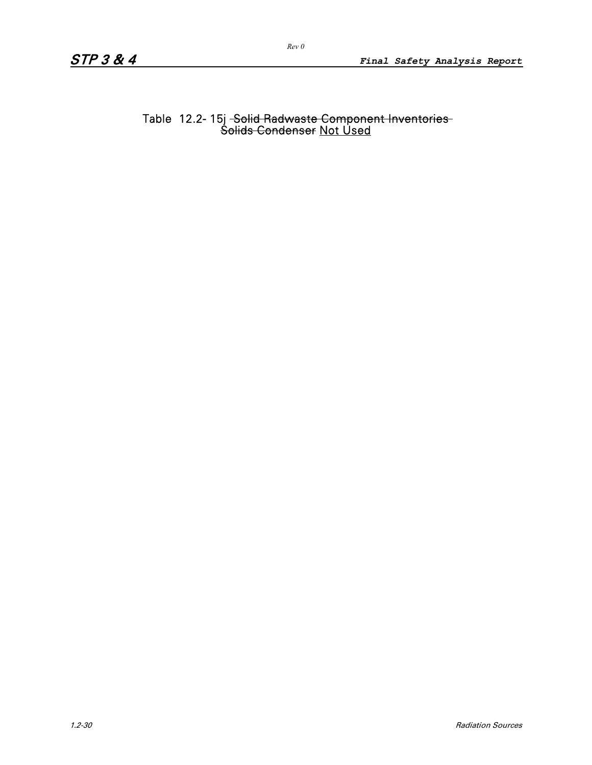#### Table 12.2- 15j <del>-Solid Radwaste Component Inventories </del> Solids Condenser Not Used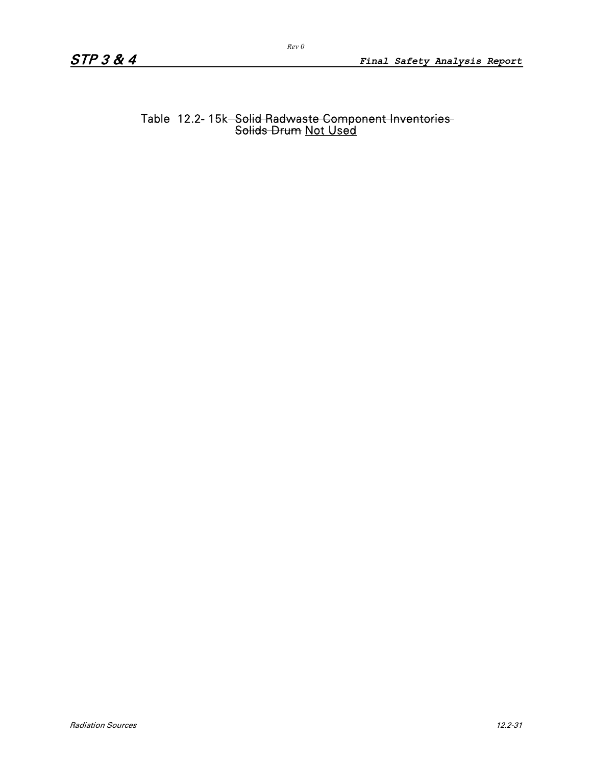#### Table 12.2- 15k<del>- Solid Radwaste Component Inventories</del> Solids Drum Not Used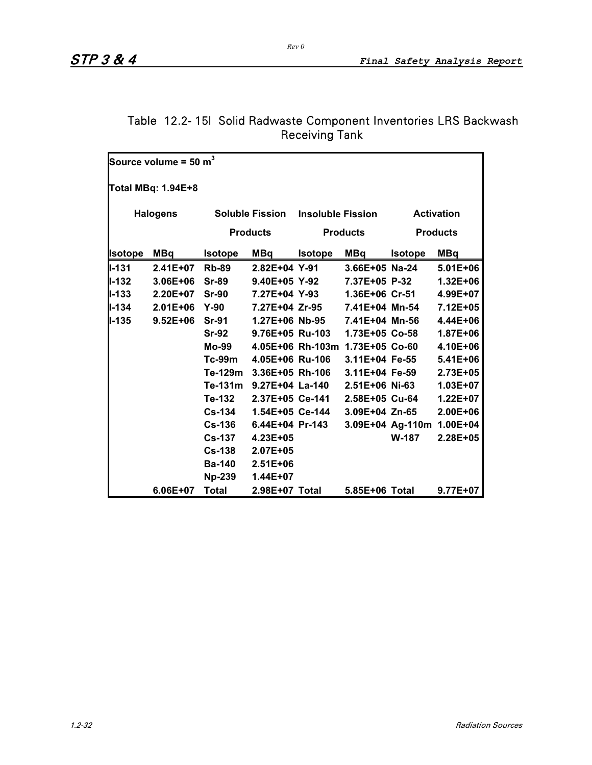|                | Source volume = 50 $m^3$ |                |                        |                          |                                 |                |                           |
|----------------|--------------------------|----------------|------------------------|--------------------------|---------------------------------|----------------|---------------------------|
|                | Total MBq: 1.94E+8       |                |                        |                          |                                 |                |                           |
|                | <b>Halogens</b>          |                | <b>Soluble Fission</b> | <b>Insoluble Fission</b> |                                 |                | <b>Activation</b>         |
|                |                          |                | <b>Products</b>        |                          | <b>Products</b>                 |                | <b>Products</b>           |
| <b>Isotope</b> | <b>MBq</b>               | <b>Isotope</b> | <b>MBq</b>             | <b>Isotope</b>           | MBq                             | <b>Isotope</b> | <b>MBq</b>                |
| <b>II-131</b>  | 2.41E+07                 | <b>Rb-89</b>   | $2.82E+04$ Y-91        |                          | 3.66E+05 Na-24                  |                | $5.01E + 06$              |
| $II - 132$     | $3.06E + 06$             | <b>Sr-89</b>   | 9.40E+05 Y-92          |                          | 7.37E+05 P-32                   |                | $1.32E + 06$              |
| $II - 133$     | $2.20E+07$               | $Sr-90$        | 7.27E+04 Y-93          |                          | 1.36E+06 Cr-51                  |                | 4.99E+07                  |
| $II - 134$     | $2.01E + 06$             | $Y-90$         | 7.27E+04 Zr-95         |                          | 7.41E+04 Mn-54                  |                | 7.12E+05                  |
| $II - 135$     | $9.52E + 06$             | <b>Sr-91</b>   |                        | 1.27E+06 Nb-95           | 7.41E+04 Mn-56                  |                | 4.44E+06                  |
|                |                          | <b>Sr-92</b>   |                        | 9.76E+05 Ru-103          | 1.73E+05 Co-58                  |                | 1.87E+06                  |
|                |                          | Mo-99          |                        |                          | 4.05E+06 Rh-103m 1.73E+05 Co-60 |                | 4.10E+06                  |
|                |                          | Tc-99m         | 4.05E+06 Ru-106        |                          | 3.11E+04 Fe-55                  |                | $5.41E + 06$              |
|                |                          | Te-129m        | 3.36E+05 Rh-106        |                          | 3.11E+04 Fe-59                  |                | 2.73E+05                  |
|                |                          | Te-131m        | 9.27E+04 La-140        |                          | 2.51E+06 Ni-63                  |                | 1.03E+07                  |
|                |                          | Te-132         | 2.37E+05 Ce-141        |                          | 2.58E+05 Cu-64                  |                | $1.22E+07$                |
|                |                          | <b>Cs-134</b>  |                        | 1.54E+05 Ce-144          | 3.09E+04 Zn-65                  |                | 2.00E+06                  |
|                |                          | <b>Cs-136</b>  | 6.44E+04 Pr-143        |                          |                                 |                | 3.09E+04 Ag-110m 1.00E+04 |
|                |                          | $Cs-137$       | 4.23E+05               |                          |                                 | W-187          | 2.28E+05                  |
|                |                          | $Cs-138$       | $2.07E + 05$           |                          |                                 |                |                           |
|                |                          | <b>Ba-140</b>  | $2.51E + 06$           |                          |                                 |                |                           |
|                |                          | <b>Np-239</b>  | 1.44E+07               |                          |                                 |                |                           |
|                | 6.06E+07                 | <b>Total</b>   | 2.98E+07 Total         |                          | 5.85E+06 Total                  |                | $9.77E + 07$              |

### Table 12.2- 15l Solid Radwaste Component Inventories LRS Backwash Receiving Tank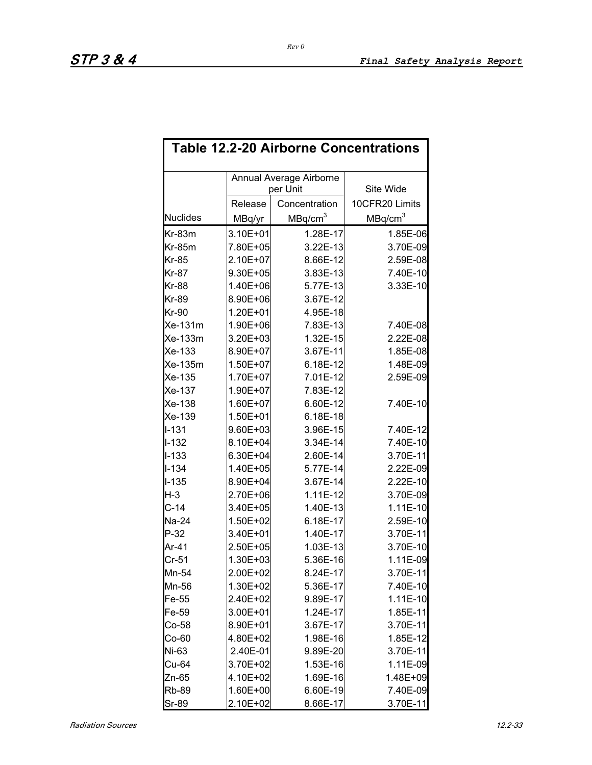|                 | <b>Table 12.2-20 Airborne Concentrations</b> |                                     |                     |  |  |  |  |  |  |  |  |
|-----------------|----------------------------------------------|-------------------------------------|---------------------|--|--|--|--|--|--|--|--|
|                 |                                              | Annual Average Airborne<br>per Unit | Site Wide           |  |  |  |  |  |  |  |  |
|                 | Release                                      | Concentration                       | 10CFR20 Limits      |  |  |  |  |  |  |  |  |
| <b>Nuclides</b> | MBq/yr                                       | MBq/cm <sup>3</sup>                 | MBq/cm <sup>3</sup> |  |  |  |  |  |  |  |  |
| $Kr-83m$        | 3.10E+01                                     | 1.28E-17                            | 1.85E-06            |  |  |  |  |  |  |  |  |
| $Kr-85m$        | 7.80E+05                                     | 3.22E-13                            | 3.70E-09            |  |  |  |  |  |  |  |  |
| <b>Kr-85</b>    | 2.10E+07                                     | 8.66E-12                            | 2.59E-08            |  |  |  |  |  |  |  |  |
| <b>Kr-87</b>    | 9.30E+05                                     | 3.83E-13                            | 7.40E-10            |  |  |  |  |  |  |  |  |
| <b>Kr-88</b>    | 1.40E+06                                     | 5.77E-13                            | 3.33E-10            |  |  |  |  |  |  |  |  |
| Kr-89           | 8.90E+06                                     | 3.67E-12                            |                     |  |  |  |  |  |  |  |  |
| <b>Kr-90</b>    | 1.20E+01                                     | 4.95E-18                            |                     |  |  |  |  |  |  |  |  |
| Xe-131m         | 1.90E+06                                     | 7.83E-13                            | 7.40E-08            |  |  |  |  |  |  |  |  |
| Xe-133m         | 3.20E+03                                     | 1.32E-15                            | 2.22E-08            |  |  |  |  |  |  |  |  |
| Xe-133          | 8.90E+07                                     | 3.67E-11                            | 1.85E-08            |  |  |  |  |  |  |  |  |
| Xe-135m         | 1.50E+07                                     | 6.18E-12                            | 1.48E-09            |  |  |  |  |  |  |  |  |
| Xe-135          | 1.70E+07                                     | 7.01E-12                            | 2.59E-09            |  |  |  |  |  |  |  |  |
| Xe-137          | 1.90E+07                                     | 7.83E-12                            |                     |  |  |  |  |  |  |  |  |
| Xe-138          | 1.60E+07                                     | 6.60E-12                            | 7.40E-10            |  |  |  |  |  |  |  |  |
| Xe-139          | 1.50E+01                                     | 6.18E-18                            |                     |  |  |  |  |  |  |  |  |
| $1 - 131$       | 9.60E+03                                     | 3.96E-15                            | 7.40E-12            |  |  |  |  |  |  |  |  |
| $I-132$         | 8.10E+04                                     | 3.34E-14                            | 7.40E-10            |  |  |  |  |  |  |  |  |
| $I - 133$       | 6.30E+04                                     | 2.60E-14                            | 3.70E-11            |  |  |  |  |  |  |  |  |
| $I-134$         | 1.40E+05                                     | 5.77E-14                            | 2.22E-09            |  |  |  |  |  |  |  |  |
| $I-135$         | 8.90E+04                                     | 3.67E-14                            | 2.22E-10            |  |  |  |  |  |  |  |  |
| H-3             | 2.70E+06                                     | $1.11E-12$                          | 3.70E-09            |  |  |  |  |  |  |  |  |
| $C-14$          | 3.40E+05                                     | 1.40E-13                            | 1.11E-10            |  |  |  |  |  |  |  |  |
| Na-24           | 1.50E+02                                     | 6.18E-17                            | 2.59E-10            |  |  |  |  |  |  |  |  |
| $P-32$          | 3.40E+01                                     | 1.40E-17                            | 3.70E-11            |  |  |  |  |  |  |  |  |
| Ar-41           | 2.50E+05                                     | 1.03E-13                            | 3.70E-10            |  |  |  |  |  |  |  |  |
| $Cr-51$         | 1.30E+03                                     | 5.36E-16                            | 1.11E-09            |  |  |  |  |  |  |  |  |
| Mn-54           | 2.00E+02                                     | 8.24E-17                            | 3.70E-11            |  |  |  |  |  |  |  |  |
| Mn-56           | 1.30E+02                                     | 5.36E-17                            | 7.40E-10            |  |  |  |  |  |  |  |  |
| $Fe-55$         | 2.40E+02                                     | 9.89E-17                            | 1.11E-10            |  |  |  |  |  |  |  |  |
| Fe-59           | 3.00E+01                                     | 1.24E-17                            | 1.85E-11            |  |  |  |  |  |  |  |  |
| $Co-58$         | 8.90E+01                                     | 3.67E-17                            | 3.70E-11            |  |  |  |  |  |  |  |  |
| Co-60           | 4.80E+02                                     | 1.98E-16                            | 1.85E-12            |  |  |  |  |  |  |  |  |
| Ni-63           | 2.40E-01                                     | 9.89E-20                            | 3.70E-11            |  |  |  |  |  |  |  |  |
| Cu-64           | 3.70E+02                                     | 1.53E-16                            | 1.11E-09            |  |  |  |  |  |  |  |  |
| Zn-65           | 4.10E+02                                     | 1.69E-16                            | 1.48E+09            |  |  |  |  |  |  |  |  |
| <b>Rb-89</b>    | 1.60E+00                                     | 6.60E-19                            | 7.40E-09            |  |  |  |  |  |  |  |  |
| Sr-89           | 2.10E+02                                     | 8.66E-17                            | 3.70E-11            |  |  |  |  |  |  |  |  |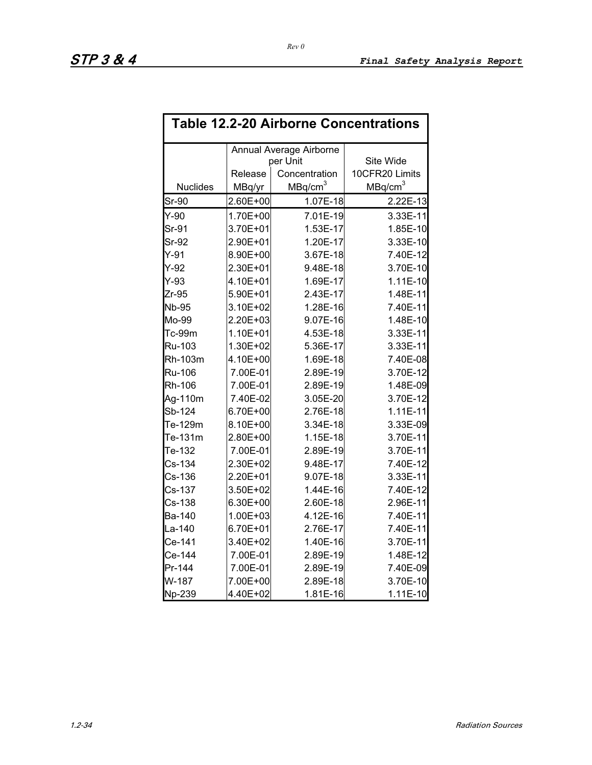| <b>Table 12.2-20 Airborne Concentrations</b> |          |                         |                     |  |  |  |  |  |  |
|----------------------------------------------|----------|-------------------------|---------------------|--|--|--|--|--|--|
|                                              |          | Annual Average Airborne |                     |  |  |  |  |  |  |
|                                              |          | per Unit                | Site Wide           |  |  |  |  |  |  |
|                                              | Release  | Concentration           | 10CFR20 Limits      |  |  |  |  |  |  |
| <b>Nuclides</b>                              | MBq/yr   | MBq/cm <sup>3</sup>     | MBq/cm <sup>3</sup> |  |  |  |  |  |  |
| $Sr-90$                                      | 2.60E+00 | 1.07E-18                | 2.22E-13            |  |  |  |  |  |  |
| $Y-90$                                       | 1.70E+00 | 7.01E-19                | 3.33E-11            |  |  |  |  |  |  |
| Sr-91                                        | 3.70E+01 | 1.53E-17                | 1.85E-10            |  |  |  |  |  |  |
| $Sr-92$                                      | 2.90E+01 | 1.20E-17                | 3.33E-10            |  |  |  |  |  |  |
| $Y-91$                                       | 8.90E+00 | 3.67E-18                | 7.40E-12            |  |  |  |  |  |  |
| $Y-92$                                       | 2.30E+01 | 9.48E-18                | 3.70E-10            |  |  |  |  |  |  |
| $Y-93$                                       | 4.10E+01 | 1.69E-17                | 1.11E-10            |  |  |  |  |  |  |
| $Zr-95$                                      | 5.90E+01 | 2.43E-17                | 1.48E-11            |  |  |  |  |  |  |
| <b>Nb-95</b>                                 | 3.10E+02 | 1.28E-16                | 7.40E-11            |  |  |  |  |  |  |
| Mo-99                                        | 2.20E+03 | 9.07E-16                | 1.48E-10            |  |  |  |  |  |  |
| Tc-99m                                       | 1.10E+01 | 4.53E-18                | 3.33E-11            |  |  |  |  |  |  |
| Ru-103                                       | 1.30E+02 | 5.36E-17                | 3.33E-11            |  |  |  |  |  |  |
| Rh-103m                                      | 4.10E+00 | 1.69E-18                | 7.40E-08            |  |  |  |  |  |  |
| Ru-106                                       | 7.00E-01 | 2.89E-19                | 3.70E-12            |  |  |  |  |  |  |
| Rh-106                                       | 7.00E-01 | 2.89E-19                | 1.48E-09            |  |  |  |  |  |  |
| Ag-110m                                      | 7.40E-02 | 3.05E-20                | 3.70E-12            |  |  |  |  |  |  |
| Sb-124                                       | 6.70E+00 | 2.76E-18                | $1.11E-11$          |  |  |  |  |  |  |
| Te-129m                                      | 8.10E+00 | 3.34E-18                | 3.33E-09            |  |  |  |  |  |  |
| Te-131m                                      | 2.80E+00 | 1.15E-18                | 3.70E-11            |  |  |  |  |  |  |
| Te-132                                       | 7.00E-01 | 2.89E-19                | 3.70E-11            |  |  |  |  |  |  |
| $Cs-134$                                     | 2.30E+02 | 9.48E-17                | 7.40E-12            |  |  |  |  |  |  |
| $Cs-136$                                     | 2.20E+01 | 9.07E-18                | 3.33E-11            |  |  |  |  |  |  |
| $Cs-137$                                     | 3.50E+02 | 1.44E-16                | 7.40E-12            |  |  |  |  |  |  |
| $Cs-138$                                     | 6.30E+00 | 2.60E-18                | 2.96E-11            |  |  |  |  |  |  |
| <b>Ba-140</b>                                | 1.00E+03 | 4.12E-16                | 7.40E-11            |  |  |  |  |  |  |
| La-140                                       | 6.70E+01 | 2.76E-17                | 7.40E-11            |  |  |  |  |  |  |
| Ce-141                                       | 3.40E+02 | 1.40E-16                | 3.70E-11            |  |  |  |  |  |  |
| Ce-144                                       | 7.00E-01 | 2.89E-19                | 1.48E-12            |  |  |  |  |  |  |
| Pr-144                                       | 7.00E-01 | 2.89E-19                | 7.40E-09            |  |  |  |  |  |  |
| W-187                                        | 7.00E+00 | 2.89E-18                | 3.70E-10            |  |  |  |  |  |  |
| Np-239                                       | 4.40E+02 | 1.81E-16                | $1.11E-10$          |  |  |  |  |  |  |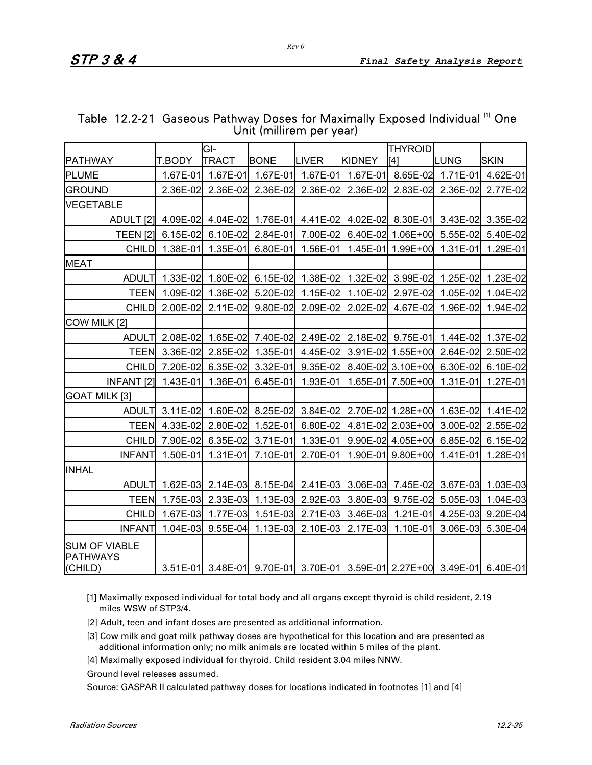|                                                    |               | GI-          |             |              |               | <b>THYROID</b>    |            |                                                                         |
|----------------------------------------------------|---------------|--------------|-------------|--------------|---------------|-------------------|------------|-------------------------------------------------------------------------|
| <b>PATHWAY</b>                                     | <b>T.BODY</b> | <b>TRACT</b> | <b>BONE</b> | <b>LIVER</b> | <b>KIDNEY</b> | [4]               | LUNG       | <b>SKIN</b>                                                             |
| <b>PLUME</b>                                       | 1.67E-01      | 1.67E-01     | 1.67E-01    | $1.67E-01$   | $1.67E-01$    | 8.65E-02          | $1.71E-01$ | 4.62E-01                                                                |
| <b>GROUND</b>                                      | 2.36E-02      | 2.36E-02     | 2.36E-02    | 2.36E-02     | 2.36E-02      | 2.83E-02          | 2.36E-02   | 2.77E-02                                                                |
| <b>VEGETABLE</b>                                   |               |              |             |              |               |                   |            |                                                                         |
| ADULT <sub>[2]</sub>                               | 4.09E-02      | 4.04E-02     | 1.76E-01    | 4.41E-02     | 4.02E-02      | 8.30E-01          | 3.43E-02   | 3.35E-02                                                                |
| <b>TEEN [2]</b>                                    | 6.15E-02      | 6.10E-02     | 2.84E-01    | 7.00E-02     | 6.40E-02      | 1.06E+00          | 5.55E-02   | 5.40E-02                                                                |
| <b>CHILD</b>                                       | 1.38E-01      | 1.35E-01     | 6.80E-01    | $1.56E-01$   | $1.45E-01$    | 1.99E+00          | 1.31E-01   | 1.29E-01                                                                |
| <b>MEAT</b>                                        |               |              |             |              |               |                   |            |                                                                         |
| <b>ADULT</b>                                       | 1.33E-02      | 1.80E-02     | 6.15E-02    | 1.38E-02     | 1.32E-02      | 3.99E-02          | 1.25E-02   | 1.23E-02                                                                |
| <b>TEEN</b>                                        | 1.09E-02      | 1.36E-02     | 5.20E-02    | 1.15E-02     | 1.10E-02      | 2.97E-02          | 1.05E-02   | 1.04E-02                                                                |
| <b>CHILD</b>                                       | 2.00E-02      | 2.11E-02     | 9.80E-02    | 2.09E-02     | 2.02E-02      | 4.67E-02          | 1.96E-02   | 1.94E-02                                                                |
| COW MILK [2]                                       |               |              |             |              |               |                   |            |                                                                         |
| <b>ADULT</b>                                       | 2.08E-02      | 1.65E-02     | 7.40E-02    | 2.49E-02     | 2.18E-02      | 9.75E-01          | 1.44E-02   | 1.37E-02                                                                |
| <b>TEEN</b>                                        | 3.36E-02      | 2.85E-02     | 1.35E-01    | 4.45E-02     |               | 3.91E-02 1.55E+00 | 2.64E-02   | 2.50E-02                                                                |
| <b>CHILD</b>                                       | 7.20E-02      | 6.35E-02     | 3.32E-01    | 9.35E-02     |               | 8.40E-02 3.10E+00 | 6.30E-02   | 6.10E-02                                                                |
| <b>INFANT [2]</b>                                  | 1.43E-01      | 1.36E-01     | 6.45E-01    | 1.93E-01     |               | 1.65E-01 7.50E+00 | 1.31E-01   | 1.27E-01                                                                |
| GOAT MILK [3]                                      |               |              |             |              |               |                   |            |                                                                         |
| <b>ADULT</b>                                       | 3.11E-02      | 1.60E-02     | 8.25E-02    | 3.84E-02     |               | 2.70E-02 1.28E+00 | 1.63E-02   | 1.41E-02                                                                |
| <b>TEEN</b>                                        | 4.33E-02      | 2.80E-02     | 1.52E-01    | 6.80E-02     |               | 4.81E-02 2.03E+00 | 3.00E-02   | 2.55E-02                                                                |
| <b>CHILD</b>                                       | 7.90E-02      | 6.35E-02     | 3.71E-01    | 1.33E-01     |               | 9.90E-02 4.05E+00 | 6.85E-02   | 6.15E-02                                                                |
| <b>INFANT</b>                                      | 1.50E-01      | $1.31E-01$   | 7.10E-01    | 2.70E-01     | 1.90E-01      | $9.80E + 00$      | 1.41E-01   | 1.28E-01                                                                |
| <b>INHAL</b>                                       |               |              |             |              |               |                   |            |                                                                         |
| <b>ADULT</b>                                       | 1.62E-03      | 2.14E-03     | 8.15E-04    | 2.41E-03     | 3.06E-03      | 7.45E-02          | 3.67E-03   | 1.03E-03                                                                |
| <b>TEEN</b>                                        | 1.75E-03      | 2.33E-03     | 1.13E-03    | 2.92E-03     | 3.80E-03      | 9.75E-02          | 5.05E-03   | 1.04E-03                                                                |
| <b>CHILD</b>                                       | 1.67E-03      | 1.77E-03     | 1.51E-03    | 2.71E-03     | 3.46E-03      | 1.21E-01          | 4.25E-03   | 9.20E-04                                                                |
| <b>INFANT</b>                                      | 1.04E-03      | 9.55E-04     | 1.13E-03    | 2.10E-03     | 2.17E-03      | 1.10E-01          | 3.06E-03   | 5.30E-04                                                                |
| <b>SUM OF VIABLE</b><br><b>PATHWAYS</b><br>(CHILD) |               |              |             |              |               |                   |            | 3.51E-01 3.48E-01 9.70E-01 3.70E-01 3.59E-01 2.27E+00 3.49E-01 6.40E-01 |

#### Table 12.2-21 Gaseous Pathway Doses for Maximally Exposed Individual <sup>[1]</sup> One Unit (millirem per year)

[1] Maximally exposed individual for total body and all organs except thyroid is child resident, 2.19 miles WSW of STP3/4.

- [2] Adult, teen and infant doses are presented as additional information.
- [3] Cow milk and goat milk pathway doses are hypothetical for this location and are presented as additional information only; no milk animals are located within 5 miles of the plant.
- [4] Maximally exposed individual for thyroid. Child resident 3.04 miles NNW.

Ground level releases assumed.

Source: GASPAR II calculated pathway doses for locations indicated in footnotes [1] and [4]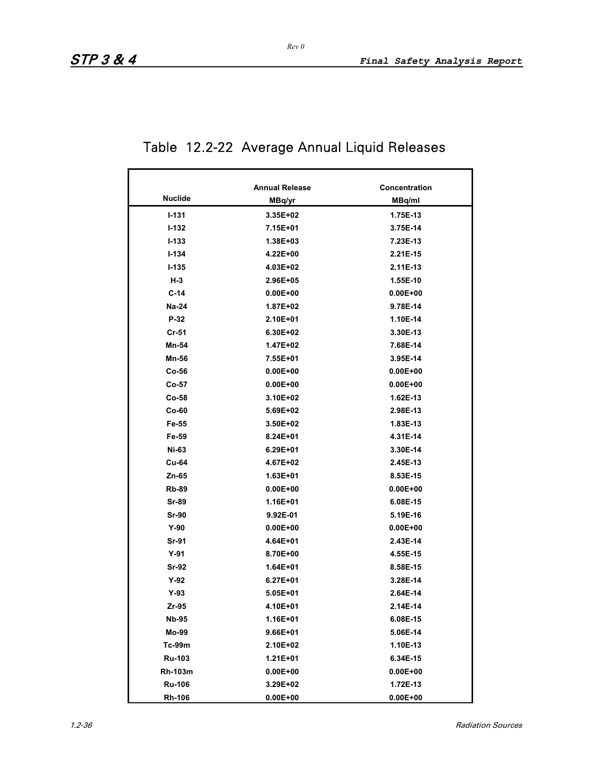# Table 12.2-22 Average Annual Liquid Releases

|                | <b>Annual Release</b> | <b>Concentration</b> |  |  |
|----------------|-----------------------|----------------------|--|--|
| <b>Nuclide</b> | MBq/yr                | MBq/ml               |  |  |
| $1 - 131$      | 3.35E+02              |                      |  |  |
| $1 - 132$      | 7.15E+01              | 1.75E-13             |  |  |
| $1 - 133$      |                       | 3.75E-14             |  |  |
|                | 1.38E+03              | 7.23E-13             |  |  |
| $1 - 134$      | 4.22E+00              | 2.21E-15             |  |  |
| $1 - 135$      | 4.03E+02              | 2.11E-13             |  |  |
| $H-3$          | 2.96E+05              | 1.55E-10             |  |  |
| $C-14$         | $0.00E + 00$          | $0.00E + 00$         |  |  |
| <b>Na-24</b>   | $1.87E + 02$          | 9.78E-14             |  |  |
| $P-32$         | 2.10E+01              | 1.10E-14             |  |  |
| $Cr-51$        | $6.30E + 02$          | 3.30E-13             |  |  |
| Mn-54          | 1.47E+02              | 7.68E-14             |  |  |
| Mn-56          | 7.55E+01              | 3.95E-14             |  |  |
| $Co-56$        | $0.00E + 00$          | $0.00E + 00$         |  |  |
| $Co-57$        | $0.00E + 00$          | $0.00E + 00$         |  |  |
| $Co-58$        | 3.10E+02              | 1.62E-13             |  |  |
| $Co-60$        | 5.69E+02              | 2.98E-13             |  |  |
| Fe-55          | 3.50E+02              | 1.83E-13             |  |  |
| Fe-59          | $8.24E + 01$          | 4.31E-14             |  |  |
| Ni-63          | $6.29E + 01$          | 3.30E-14             |  |  |
| <b>Cu-64</b>   | 4.67E+02              | 2.45E-13             |  |  |
| Zn-65          | $1.63E + 01$          | 8.53E-15             |  |  |
| <b>Rb-89</b>   | $0.00E + 00$          | $0.00E + 00$         |  |  |
| Sr-89          | 1.16E+01              | 6.08E-15             |  |  |
| <b>Sr-90</b>   | $9.92E - 01$          | 5.19E-16             |  |  |
| $Y-90$         | $0.00E + 00$          | $0.00E + 00$         |  |  |
| Sr-91          | 4.64E+01              | 2.43E-14             |  |  |
| $Y-91$         | 8.70E+00              | 4.55E-15             |  |  |
| Sr-92          | $1.64E + 01$          | 8.58E-15             |  |  |
| $Y-92$         | $6.27E + 01$          | 3.28E-14             |  |  |
| $Y-93$         | $5.05E + 01$          | 2.64E-14             |  |  |
| $Zr-95$        | 4.10E+01              | 2.14E-14             |  |  |
| <b>Nb-95</b>   | 1.16E+01              | 6.08E-15             |  |  |
| Mo-99          | $9.66E + 01$          | 5.06E-14             |  |  |
| Tc-99m         | 2.10E+02              | 1.10E-13             |  |  |
| Ru-103         | $1.21E + 01$          | 6.34E-15             |  |  |
| Rh-103m        | $0.00E + 00$          | $0.00E + 00$         |  |  |
| <b>Ru-106</b>  | 3.29E+02              | 1.72E-13             |  |  |
| Rh-106         | $0.00E + 00$          | $0.00E + 00$         |  |  |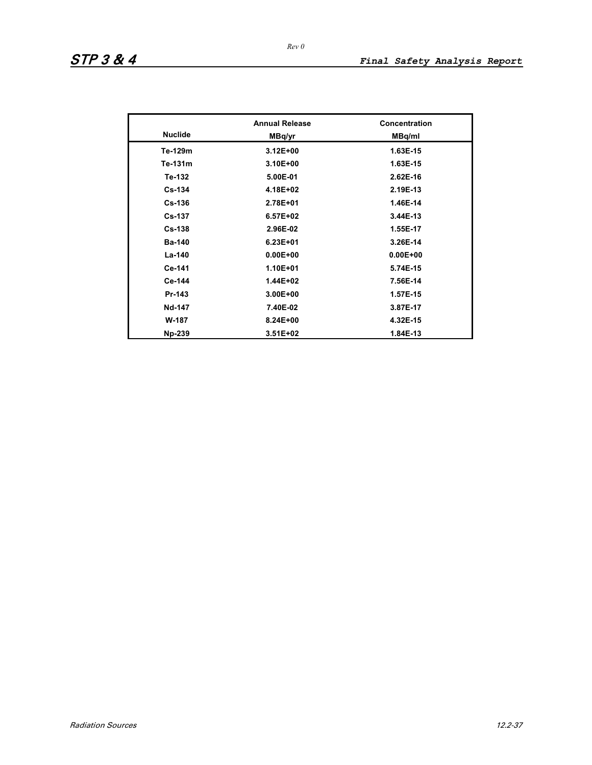|                | <b>Annual Release</b> | <b>Concentration</b> |  |
|----------------|-----------------------|----------------------|--|
| <b>Nuclide</b> | MBq/yr                | MBq/ml               |  |
| Te-129m        | $3.12E + 00$          | 1.63E-15             |  |
| Te-131m        | 3.10E+00              | 1.63E-15             |  |
| Te-132         | 5.00E-01              | $2.62E-16$           |  |
| $Cs-134$       | 4.18E+02              | 2.19E-13             |  |
| $Cs-136$       | 2.78E+01              | 1.46E-14             |  |
| <b>Cs-137</b>  | $6.57E + 02$          | 3.44E-13             |  |
| $Cs-138$       | 2.96E-02              | 1.55E-17             |  |
| <b>Ba-140</b>  | $6.23E + 01$          | 3.26E-14             |  |
| La-140         | $0.00E + 00$          | $0.00E + 00$         |  |
| Ce-141         | $1.10E + 01$          | 5.74E-15             |  |
| Ce-144         | $1.44E + 02$          | 7.56E-14             |  |
| Pr-143         | $3.00E + 00$          | 1.57E-15             |  |
| Nd-147         | 7.40E-02              | 3.87E-17             |  |
| W-187          | 8.24E+00              | 4.32E-15             |  |
| <b>Np-239</b>  | $3.51E + 02$          | 1.84E-13             |  |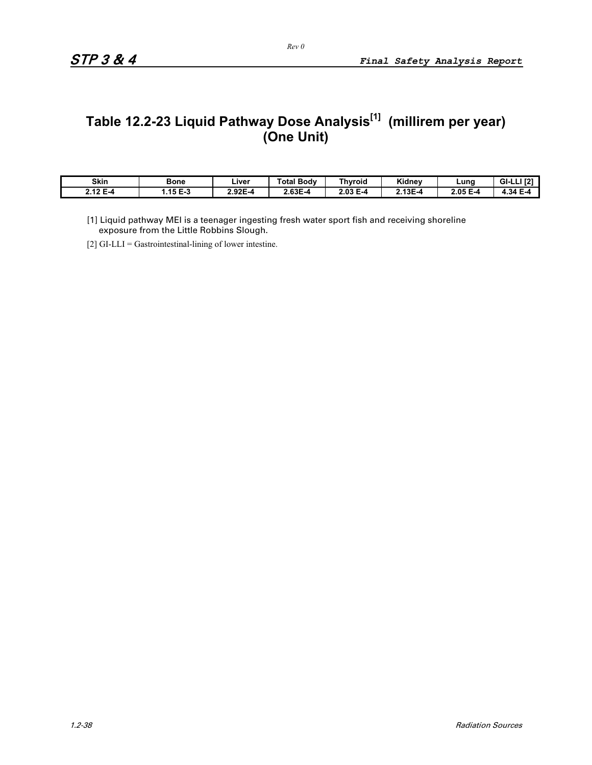# **Table 12.2-23 Liquid Pathway Dose Analysis[1] (millirem per year) (One Unit)**

| Skin        | Bone                         | ∟iver                       | <b>Total Body</b> | <b>Thyroid</b>   | レバー<br>Kidney | ∟uno                | <b>LEAT</b><br>GI- |
|-------------|------------------------------|-----------------------------|-------------------|------------------|---------------|---------------------|--------------------|
| 12 E<br>E-4 | 45E <sub>2</sub><br>נ-ם כו.ו | <b>025</b><br>۰.,<br>Z.JZE. | 2.63E-4           | $2.03 E -$<br>۵. | $2.13E - 4$   | $2.05 E -$<br>- . д | $+34 F$<br>- . д   |

[1] Liquid pathway MEI is a teenager ingesting fresh water sport fish and receiving shoreline exposure from the Little Robbins Slough.

[2] GI-LLI = Gastrointestinal-lining of lower intestine.